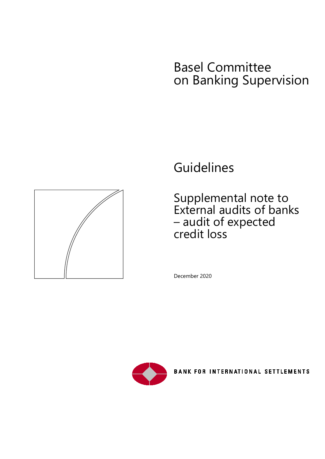# Basel Committee on Banking Supervision



# Guidelines

Supplemental note to External audits of banks – audit of expected credit loss

December 2020



**BANK FOR INTERNATIONAL SETTLEMENTS**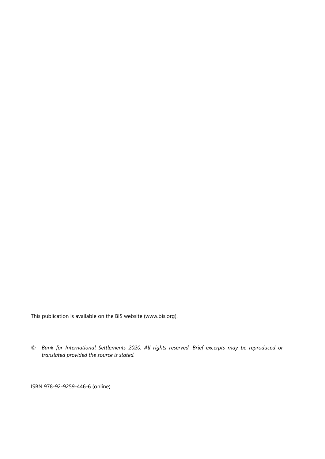This publication is available on the BIS website [\(www.bis.org\)](http://www.bis.org/).

*© Bank for International Settlements 2020. All rights reserved. Brief excerpts may be reproduced or translated provided the source is stated.*

ISBN 978-92-9259-446-6 (online)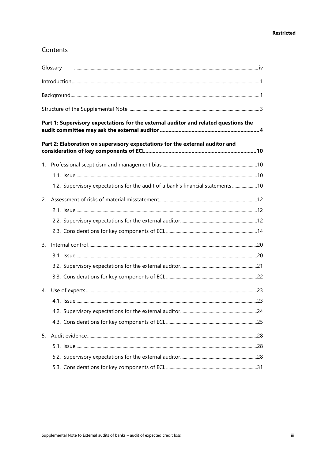#### **Restricted**

#### Contents

|                | Glossary                                                                            |  |  |  |  |
|----------------|-------------------------------------------------------------------------------------|--|--|--|--|
|                |                                                                                     |  |  |  |  |
|                |                                                                                     |  |  |  |  |
|                |                                                                                     |  |  |  |  |
|                | Part 1: Supervisory expectations for the external auditor and related questions the |  |  |  |  |
|                | Part 2: Elaboration on supervisory expectations for the external auditor and        |  |  |  |  |
|                |                                                                                     |  |  |  |  |
|                |                                                                                     |  |  |  |  |
|                | 1.2. Supervisory expectations for the audit of a bank's financial statements  10    |  |  |  |  |
| 2.             |                                                                                     |  |  |  |  |
|                |                                                                                     |  |  |  |  |
|                |                                                                                     |  |  |  |  |
|                |                                                                                     |  |  |  |  |
| 3.             |                                                                                     |  |  |  |  |
|                |                                                                                     |  |  |  |  |
|                |                                                                                     |  |  |  |  |
|                |                                                                                     |  |  |  |  |
| 4 <sub>1</sub> |                                                                                     |  |  |  |  |
|                |                                                                                     |  |  |  |  |
|                |                                                                                     |  |  |  |  |
|                |                                                                                     |  |  |  |  |
| 5.             |                                                                                     |  |  |  |  |
|                |                                                                                     |  |  |  |  |
|                |                                                                                     |  |  |  |  |
|                |                                                                                     |  |  |  |  |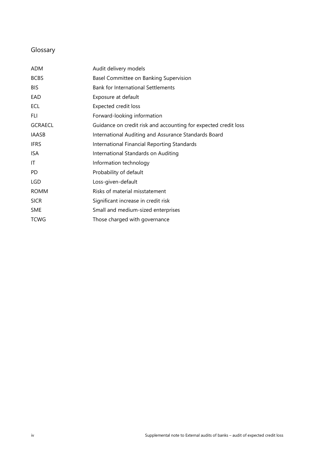# <span id="page-3-0"></span>Glossary

| <b>ADM</b>     | Audit delivery models                                           |
|----------------|-----------------------------------------------------------------|
| <b>BCBS</b>    | Basel Committee on Banking Supervision                          |
| <b>BIS</b>     | <b>Bank for International Settlements</b>                       |
| EAD            | Exposure at default                                             |
| <b>ECL</b>     | Expected credit loss                                            |
| FLI.           | Forward-looking information                                     |
| <b>GCRAECL</b> | Guidance on credit risk and accounting for expected credit loss |
| IAASB          | International Auditing and Assurance Standards Board            |
| <b>IFRS</b>    | International Financial Reporting Standards                     |
| ISA.           | International Standards on Auditing                             |
| ΙT             | Information technology                                          |
| PD.            | Probability of default                                          |
| <b>LGD</b>     | Loss-given-default                                              |
| <b>ROMM</b>    | Risks of material misstatement                                  |
| <b>SICR</b>    | Significant increase in credit risk                             |
| <b>SME</b>     | Small and medium-sized enterprises                              |
| <b>TCWG</b>    | Those charged with governance                                   |
|                |                                                                 |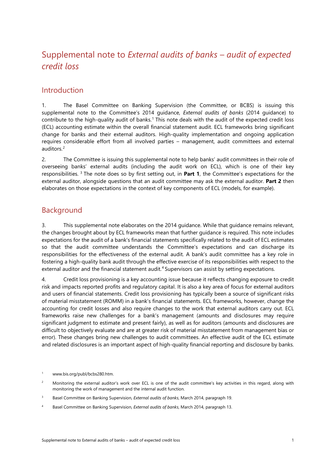# <span id="page-4-0"></span>Supplemental note to *External audits of banks – audit of expected credit loss*

## Introduction

1. The Basel Committee on Banking Supervision (the Committee, or BCBS) is issuing this supplemental note to the Committee's 2014 guidance, *External audits of banks* (2014 guidance) to contribute to the high-quality audit of banks.<sup>[1](#page-4-2)</sup> This note deals with the audit of the expected credit loss (ECL) accounting estimate within the overall financial statement audit. ECL frameworks bring significant change for banks and their external auditors. High-quality implementation and ongoing application requires considerable effort from all involved parties – management, audit committees and external auditors<sup>[2](#page-4-3)</sup>

2. The Committee is issuing this supplemental note to help banks' audit committees in their role of overseeing banks' external audits (including the audit work on ECL), which is one of their key responsibilities. [3](#page-4-4) The note does so by first setting out, in **Part 1**, the Committee's expectations for the external auditor, alongside questions that an audit committee may ask the external auditor. **Part 2** then elaborates on those expectations in the context of key components of ECL (models, for example).

# <span id="page-4-1"></span>Background

3. This supplemental note elaborates on the 2014 guidance. While that guidance remains relevant, the changes brought about by ECL frameworks mean that further guidance is required. This note includes expectations for the audit of a bank's financial statements specifically related to the audit of ECL estimates so that the audit committee understands the Committee's expectations and can discharge its responsibilities for the effectiveness of the external audit. A bank's audit committee has a key role in fostering a high-quality bank audit through the effective exercise of its responsibilities with respect to the external auditor and the financial statement audit.<sup>[4](#page-4-5)</sup> Supervisors can assist by setting expectations.

4. Credit loss provisioning is a key accounting issue because it reflects changing exposure to credit risk and impacts reported profits and regulatory capital. It is also a key area of focus for external auditors and users of financial statements. Credit loss provisioning has typically been a source of significant risks of material misstatement (ROMM) in a bank's financial statements. ECL frameworks, however, change the accounting for credit losses and also require changes to the work that external auditors carry out. ECL frameworks raise new challenges for a bank's management (amounts and disclosures may require significant judgment to estimate and present fairly), as well as for auditors (amounts and disclosures are difficult to objectively evaluate and are at greater risk of material misstatement from management bias or error). These changes bring new challenges to audit committees. An effective audit of the ECL estimate and related disclosures is an important aspect of high-quality financial reporting and disclosure by banks.

<span id="page-4-2"></span>www.bis.org/publ/bcbs280.htm.

<span id="page-4-3"></span><sup>2</sup> Monitoring the external auditor's work over ECL is one of the audit committee's key activities in this regard, along with monitoring the work of management and the internal audit function.

<span id="page-4-4"></span><sup>3</sup> Basel Committee on Banking Supervision, *External audits of banks*, March 2014, paragraph 19.

<span id="page-4-5"></span><sup>4</sup> Basel Committee on Banking Supervision, *External audits of banks*, March 2014, paragraph 13.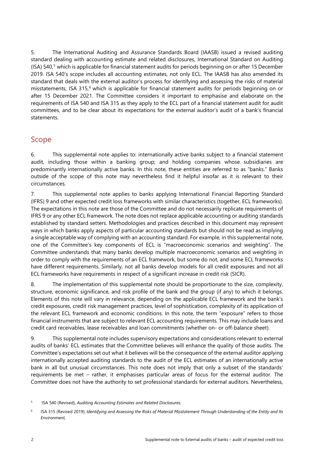5. The International Auditing and Assurance Standards Board (IAASB) issued a revised auditing standard dealing with accounting estimate and related disclosures, International Standard on Auditing (ISA) 540, [5](#page-5-0) which is applicable for financial statement audits for periods beginning on or after 15 December 2019. ISA 540's scope includes all accounting estimates, not only ECL. The IAASB has also amended its standard that deals with the external auditor's process for identifying and assessing the risks of material misstatements, ISA 315,<sup>[6](#page-5-1)</sup> which is applicable for financial statement audits for periods beginning on or after 15 December 2021. The Committee considers it important to emphasise and elaborate on the requirements of ISA 540 and ISA 315 as they apply to the ECL part of a financial statement audit for audit committees, and to be clear about its expectations for the external auditor's audit of a bank's financial statements.

# Scope

6. This supplemental note applies to: internationally active banks subject to a financial statement audit, including those within a banking group; and holding companies whose subsidiaries are predominantly internationally active banks. In this note, these entities are referred to as "banks." Banks outside of the scope of this note may nevertheless find it helpful insofar as it is relevant to their circumstances.

7. This supplemental note applies to banks applying International Financial Reporting Standard (IFRS) 9 and other expected credit loss frameworks with similar characteristics (together, ECL frameworks). The expectations in this note are those of the Committee and do not necessarily replicate requirements of IFRS 9 or any other ECL framework. The note does not replace applicable accounting or auditing standards established by standard setters. Methodologies and practices described in this document may represent ways in which banks apply aspects of particular accounting standards but should not be read as implying a single acceptable way of complying with an accounting standard. For example, in this supplemental note, one of the Committee's key components of ECL is "macroeconomic scenarios and weighting". The Committee understands that many banks develop multiple macroeconomic scenarios and weighting in order to comply with the requirements of an ECL framework, but some do not, and some ECL frameworks have different requirements. Similarly, not all banks develop models for all credit exposures and not all ECL frameworks have requirements in respect of a significant increase in credit risk (SICR).

8. The implementation of this supplemental note should be proportionate to the size, complexity, structure, economic significance, and risk profile of the bank and the group (if any) to which it belongs. Elements of this note will vary in relevance, depending on the applicable ECL framework and the bank's credit exposures, credit risk management practices, level of sophistication, complexity of its application of the relevant ECL framework and economic conditions. In this note, the term "exposure" refers to those financial instruments that are subject to relevant ECL accounting requirements. This may include loans and credit card receivables, lease receivables and loan commitments (whether on- or off-balance sheet).

9. This supplemental note includes supervisory expectations and considerations relevant to external audits of banks' ECL estimates that the Committee believes will enhance the quality of those audits. The Committee's expectations set out what it believes will be the consequence of the external auditor applying internationally accepted auditing standards to the audit of the ECL estimates of an internationally active bank in all but unusual circumstances. This note does not imply that only a subset of the standards' requirements be met – rather, it emphasises particular areas of focus for the external auditor. The Committee does not have the authority to set professional standards for external auditors. Nevertheless,

<span id="page-5-0"></span><sup>5</sup> ISA 540 (Revised), *Auditing Accounting Estimates and Related Disclosures,*

<span id="page-5-1"></span><sup>6</sup> ISA 315 (Revised 2019), *Identifying and Assessing the Risks of Material Misstatement Through Understanding of the Entity and Its Environment,*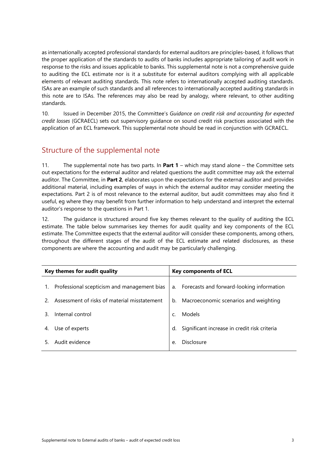as internationally accepted professional standards for external auditors are principles-based, it follows that the proper application of the standards to audits of banks includes appropriate tailoring of audit work in response to the risks and issues applicable to banks. This supplemental note is not a comprehensive guide to auditing the ECL estimate nor is it a substitute for external auditors complying with all applicable elements of relevant auditing standards. This note refers to internationally accepted auditing standards. ISAs are an example of such standards and all references to internationally accepted auditing standards in this note are to ISAs. The references may also be read by analogy, where relevant, to other auditing standards.

10. Issued in December 2015, the Committee's *Guidance on credit risk and accounting for expected credit losses* (GCRAECL) sets out supervisory guidance on sound credit risk practices associated with the application of an ECL framework. This supplemental note should be read in conjunction with GCRAECL.

# <span id="page-6-0"></span>Structure of the supplemental note

11. The supplemental note has two parts. In **Part 1** – which may stand alone – the Committee sets out expectations for the external auditor and related questions the audit committee may ask the external auditor. The Committee, in **Part 2**, elaborates upon the expectations for the external auditor and provides additional material, including examples of ways in which the external auditor may consider meeting the expectations. Part 2 is of most relevance to the external auditor, but audit committees may also find it useful, eg where they may benefit from further information to help understand and interpret the external auditor's response to the questions in Part 1.

12. The guidance is structured around five key themes relevant to the quality of auditing the ECL estimate. The table below summarises key themes for audit quality and key components of the ECL estimate. The Committee expects that the external auditor will consider these components, among others, throughout the different stages of the audit of the ECL estimate and related disclosures, as these components are where the accounting and audit may be particularly challenging.

| Key themes for audit quality |                                              |              | <b>Key components of ECL</b>                 |  |  |
|------------------------------|----------------------------------------------|--------------|----------------------------------------------|--|--|
| 1.                           | Professional scepticism and management bias  |              | a. Forecasts and forward-looking information |  |  |
|                              | Assessment of risks of material misstatement |              | b. Macroeconomic scenarios and weighting     |  |  |
|                              | Internal control                             | $\mathsf{C}$ | Models                                       |  |  |
|                              | Use of experts                               | d.           | Significant increase in credit risk criteria |  |  |
|                              | Audit evidence                               | e.           | Disclosure                                   |  |  |
|                              |                                              |              |                                              |  |  |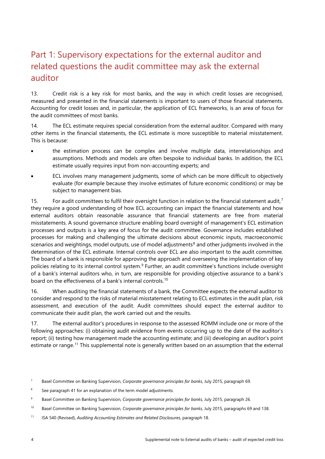# <span id="page-7-0"></span>Part 1: Supervisory expectations for the external auditor and related questions the audit committee may ask the external auditor

13. Credit risk is a key risk for most banks, and the way in which credit losses are recognised, measured and presented in the financial statements is important to users of those financial statements. Accounting for credit losses and, in particular, the application of ECL frameworks, is an area of focus for the audit committees of most banks.

14. The ECL estimate requires special consideration from the external auditor. Compared with many other items in the financial statements, the ECL estimate is more susceptible to material misstatement. This is because:

- the estimation process can be complex and involve multiple data, interrelationships and assumptions. Methods and models are often bespoke to individual banks. In addition, the ECL estimate usually requires input from non-accounting experts; and
- ECL involves many management judgments, some of which can be more difficult to objectively evaluate (for example because they involve estimates of future economic conditions) or may be subject to management bias.

15. For audit committees to fulfil their oversight function in relation to the financial statement audit,<sup>[7](#page-7-1)</sup> they require a good understanding of how ECL accounting can impact the financial statements and how external auditors obtain reasonable assurance that financial statements are free from material misstatements. A sound governance structure enabling board oversight of management's ECL estimation processes and outputs is a key area of focus for the audit committee. Governance includes established processes for making and challenging the ultimate decisions about economic inputs, macroeconomic scenarios and weightings, model outputs, use of model adjustments<sup>[8](#page-7-2)</sup> and other judgments involved in the determination of the ECL estimate. Internal controls over ECL are also important to the audit committee. The board of a bank is responsible for approving the approach and overseeing the implementation of key policies relating to its internal control system.[9](#page-7-3) Further, an audit committee's functions include oversight of a bank's internal auditors who, in turn, are responsible for providing objective assurance to a bank's board on the effectiveness of a bank's internal controls.<sup>[10](#page-7-4)</sup>

16. When auditing the financial statements of a bank, the Committee expects the external auditor to consider and respond to the risks of material misstatement relating to ECL estimates in the audit plan, risk assessment, and execution of the audit. Audit committees should expect the external auditor to communicate their audit plan, the work carried out and the results.

17. The external auditor's procedures in response to the assessed ROMM include one or more of the following approaches: (i) obtaining audit evidence from events occurring up to the date of the auditor's report; (ii) testing how management made the accounting estimate; and (iii) developing an auditor's point estimate or range.<sup>[11](#page-7-5)</sup> This supplemental note is generally written based on an assumption that the external

<span id="page-7-5"></span><sup>11</sup> ISA 540 (Revised), *Auditing Accounting Estimates and Related Disclosures*, paragraph 18.

<span id="page-7-1"></span><sup>7</sup> Basel Committee on Banking Supervision, *Corporate governance principles for banks*, July 2015, paragraph 69.

<span id="page-7-2"></span><sup>&</sup>lt;sup>8</sup> See paragraph 41 for an explanation of the term model adjustments.

<span id="page-7-3"></span><sup>9</sup> Basel Committee on Banking Supervision, *Corporate governance principles for banks,* July 2015, paragraph 26.

<span id="page-7-4"></span><sup>10</sup> Basel Committee on Banking Supervision, *Corporate governance principles for banks,* July 2015, paragraphs 69 and 138.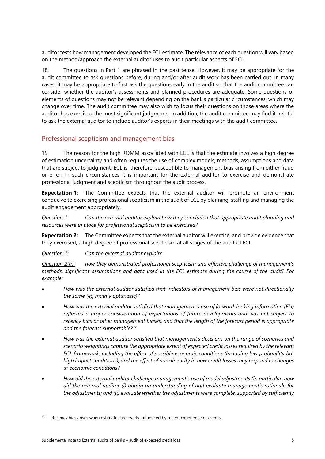auditor tests how management developed the ECL estimate. The relevance of each question will vary based on the method/approach the external auditor uses to audit particular aspects of ECL.

18. The questions in Part 1 are phrased in the past tense. However, it may be appropriate for the audit committee to ask questions before, during and/or after audit work has been carried out. In many cases, it may be appropriate to first ask the questions early in the audit so that the audit committee can consider whether the auditor's assessments and planned procedures are adequate. Some questions or elements of questions may not be relevant depending on the bank's particular circumstances, which may change over time. The audit committee may also wish to focus their questions on those areas where the auditor has exercised the most significant judgments. In addition, the audit committee may find it helpful to ask the external auditor to include auditor's experts in their meetings with the audit committee.

#### Professional scepticism and management bias

19. The reason for the high ROMM associated with ECL is that the estimate involves a high degree of estimation uncertainty and often requires the use of complex models, methods, assumptions and data that are subject to judgment. ECL is, therefore, susceptible to management bias arising from either fraud or error. In such circumstances it is important for the external auditor to exercise and demonstrate professional judgment and scepticism throughout the audit process.

**Expectation 1:** The Committee expects that the external auditor will promote an environment conducive to exercising professional scepticism in the audit of ECL by planning, staffing and managing the audit engagement appropriately.

*Question 1: Can the external auditor explain how they concluded that appropriate audit planning and resources were in place for professional scepticism to be exercised?*

**Expectation 2:** The Committee expects that the external auditor will exercise, and provide evidence that they exercised, a high degree of professional scepticism at all stages of the audit of ECL.

*Question 2: Can the external auditor explain:*

*Question 2(a): how they demonstrated professional scepticism and effective challenge of management's methods, significant assumptions and data used in the ECL estimate during the course of the audit? For example:*

- *How was the external auditor satisfied that indicators of management bias were not directionally the same (eg mainly optimistic)?*
- *How was the external auditor satisfied that management's use of forward-looking information (FLI) reflected a proper consideration of expectations of future developments and was not subject to recency bias or other management biases, and that the length of the forecast period is appropriate and the forecast supportable?[12](#page-8-0)*
- *How was the external auditor satisfied that management's decisions on the range of scenarios and scenario weightings capture the appropriate extent of expected credit losses required by the relevant ECL framework, including the effect of possible economic conditions (including low probability but high impact conditions), and the effect of non-linearity in how credit losses may respond to changes in economic conditions?*
- *How did the external auditor challenge management's use of model adjustments (in particular, how did the external auditor (i) obtain an understanding of and evaluate management's rationale for the adjustments; and (ii) evaluate whether the adjustments were complete, supported by sufficiently*

<span id="page-8-0"></span> $12$  Recency bias arises when estimates are overly influenced by recent experience or events.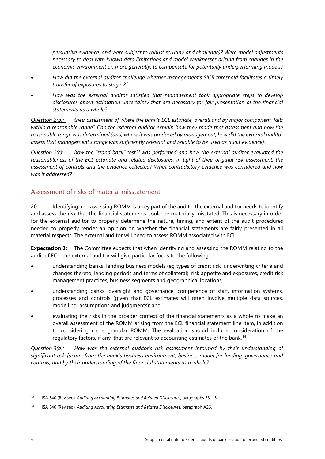*persuasive evidence, and were subject to robust scrutiny and challenge)? Were model adjustments necessary to deal with known data limitations and model weaknesses arising from changes in the economic environment or, more generally, to compensate for potentially underperforming models?*

- *How did the external auditor challenge whether management's SICR threshold facilitates a timely transfer of exposures to stage 2?*
- *How was the external auditor satisfied that management took appropriate steps to develop disclosures about estimation uncertainty that are necessary for fair presentation of the financial statements as a whole?*

*Question 2(b): their assessment of where the bank's ECL estimate, overall and by major component, falls within a reasonable range? Can the external auditor explain how they made that assessment and how the reasonable range was determined (and, where it was produced by management, how did the external auditor assess that management's range was sufficiently relevant and reliable to be used as audit evidence)?*

*Question 2(c): how the "stand back" test[13](#page-9-0) was performed and how the external auditor evaluated the reasonableness of the ECL estimate and related disclosures, in light of their original risk assessment, the assessment of controls and the evidence collected? What contradictory evidence was considered and how was it addressed?*

#### Assessment of risks of material misstatement

20. Identifying and assessing ROMM is a key part of the audit – the external auditor needs to identify and assess the risk that the financial statements could be materially misstated. This is necessary in order for the external auditor to properly determine the nature, timing, and extent of the audit procedures needed to properly render an opinion on whether the financial statements are fairly presented in all material respects. The external auditor will need to assess ROMM associated with ECL.

**Expectation 3:** The Committee expects that when identifying and assessing the ROMM relating to the audit of ECL, the external auditor will give particular focus to the following:

- understanding banks' lending business models (eg types of credit risk, underwriting criteria and changes thereto, lending periods and terms of collateral), risk appetite and exposures, credit risk management practices, business segments and geographical locations;
- understanding banks' oversight and governance, competence of staff, information systems, processes and controls (given that ECL estimates will often involve multiple data sources, modelling, assumptions and judgments); and
- evaluating the risks in the broader context of the financial statements as a whole to make an overall assessment of the ROMM arising from the ECL financial statement line item, in addition to considering more granular ROMM. The evaluation should include consideration of the regulatory factors, if any, that are relevant to accounting estimates of the bank. [14](#page-9-1)

*Question 3(a): How was the external auditor's risk assessment informed by their understanding of significant risk factors from the bank's business environment, business model for lending, governance and controls, and by their understanding of the financial statements as a whole?*

<span id="page-9-0"></span><sup>13</sup> ISA 540 (Revised), *Auditing Accounting Estimates and Related Disclosures*, paragraphs 33—5.

<span id="page-9-1"></span><sup>&</sup>lt;sup>14</sup> ISA 540 (Revised), *Auditing Accounting Estimates and Related Disclosures*, paragraph A26.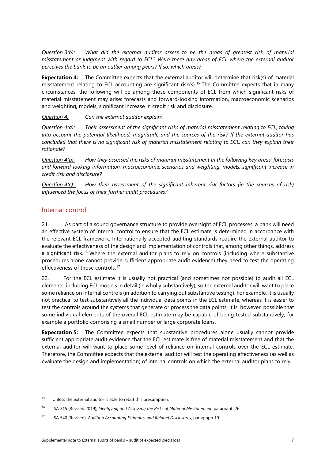*Question 3(b): What did the external auditor assess to be the areas of greatest risk of material misstatement or judgment with regard to ECL? Were there any areas of ECL where the external auditor perceives the bank to be an outlier among peers? If so, which areas?*

**Expectation 4:** The Committee expects that the external auditor will determine that risk(s) of material misstatement relating to ECL accounting are significant risk(s). [15](#page-10-0) The Committee expects that in many circumstances, the following will be among those components of ECL from which significant risks of material misstatement may arise: forecasts and forward-looking information, macroeconomic scenarios and weighting, models, significant increase in credit risk and disclosure.

*Question 4: Can the external auditor explain:*

*Question 4(a): Their assessment of the significant risks of material misstatement relating to ECL, taking into account the potential likelihood, magnitude and the sources of the risk? If the external auditor has concluded that there is no significant risk of material misstatement relating to ECL, can they explain their rationale?*

*Question 4(b): How they assessed the risks of material misstatement in the following key areas: forecasts and forward-looking information, macroeconomic scenarios and weighting, models, significant increase in credit risk and disclosure?*

*Question 4(c): How their assessment of the significant inherent risk factors (ie the sources of risk) influenced the focus of their further audit procedures?*

#### Internal control

21. As part of a sound governance structure to provide oversight of ECL processes, a bank will need an effective system of internal control to ensure that the ECL estimate is determined in accordance with the relevant ECL framework. Internationally accepted auditing standards require the external auditor to evaluate the effectiveness of the design and implementation of controls that, among other things, address a significant risk.<sup>[16](#page-10-1)</sup> Where the external auditor plans to rely on controls (including where substantive procedures alone cannot provide sufficient appropriate audit evidence) they need to test the operating effectiveness of those controls. [17](#page-10-2)

22. For the ECL estimate it is usually not practical (and sometimes not possible) to audit all ECL elements, including ECL models in detail (ie wholly substantively), so the external auditor will want to place some reliance on internal controls (in addition to carrying out substantive testing). For example, it is usually not practical to test substantively all the individual data points in the ECL estimate, whereas it is easier to test the controls around the systems that generate or process the data points. It is, however, possible that some individual elements of the overall ECL estimate may be capable of being tested substantively, for example a portfolio comprising a small number or large corporate loans.

**Expectation 5:** The Committee expects that substantive procedures alone usually cannot provide sufficient appropriate audit evidence that the ECL estimate is free of material misstatement and that the external auditor will want to place some level of reliance on internal controls over the ECL estimate. Therefore, the Committee expects that the external auditor will test the operating effectiveness (as well as evaluate the design and implementation) of internal controls on which the external auditor plans to rely.

<span id="page-10-0"></span> $15$  Unless the external auditor is able to rebut this presumption.

<span id="page-10-1"></span><sup>16</sup> ISA 315 (Revised 2019), *Identifying and Assessing the Risks of Material Misstatement*, paragraph 26.

<span id="page-10-2"></span><sup>17</sup> ISA 540 (Revised), *Auditing Accounting Estimates and Related Disclosures*, paragraph 19.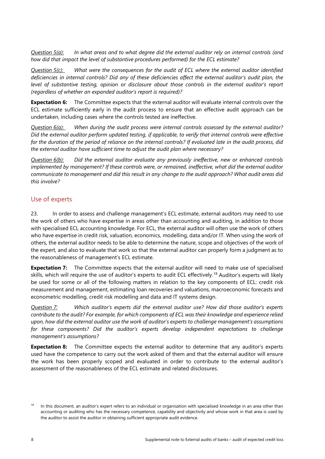*Question 5(a): In what areas and to what degree did the external auditor rely on internal controls (and how did that impact the level of substantive procedures performed) for the ECL estimate?*

*Question 5(c): What were the consequences for the audit of ECL where the external auditor identified deficiencies in internal controls? Did any of these deficiencies affect the external auditor's audit plan, the level of substantive testing, opinion or disclosure about those controls in the external auditor's report (regardless of whether an expanded auditor's report is required)?*

**Expectation 6:** The Committee expects that the external auditor will evaluate internal controls over the ECL estimate sufficiently early in the audit process to ensure that an effective audit approach can be undertaken, including cases where the controls tested are ineffective.

*Question 6(a): When during the audit process were internal controls assessed by the external auditor? Did the external auditor perform updated testing, if applicable, to verify that internal controls were effective for the duration of the period of reliance on the internal controls? If evaluated late in the audit process, did the external auditor have sufficient time to adjust the audit plan where necessary?*

*Question 6(b): Did the external auditor evaluate any previously ineffective, new or enhanced controls implemented by management? If these controls were, or remained, ineffective, what did the external auditor communicate to management and did this result in any change to the audit approach? What audit areas did this involve?* 

#### Use of experts

23. In order to assess and challenge management's ECL estimate, external auditors may need to use the work of others who have expertise in areas other than accounting and auditing, in addition to those with specialised ECL accounting knowledge. For ECL, the external auditor will often use the work of others who have expertise in credit risk, valuation, economics, modelling, data and/or IT. When using the work of others, the external auditor needs to be able to determine the nature, scope and objectives of the work of the expert, and also to evaluate that work so that the external auditor can properly form a judgment as to the reasonableness of management's ECL estimate.

**Expectation 7:** The Committee expects that the external auditor will need to make use of specialised skills, which will require the use of auditor's experts to audit ECL effectively.<sup>[18](#page-11-0)</sup> Auditor's experts will likely be used for some or all of the following matters in relation to the key components of ECL: credit risk measurement and management, estimating loan recoveries and valuations, macroeconomic forecasts and econometric modelling, credit risk modelling and data and IT systems design.

*Question 7: Which auditor's experts did the external auditor use? How did those auditor's experts contribute to the audit? For example, for which components of ECL was their knowledge and experience relied upon, how did the external auditor use the work of auditor's experts to challenge management's assumptions for these components? Did the auditor's experts develop independent expectations to challenge management's assumptions?*

**Expectation 8:** The Committee expects the external auditor to determine that any auditor's experts used have the competence to carry out the work asked of them and that the external auditor will ensure the work has been properly scoped and evaluated in order to contribute to the external auditor's assessment of the reasonableness of the ECL estimate and related disclosures.

<span id="page-11-0"></span><sup>&</sup>lt;sup>18</sup> In this document, an auditor's expert refers to an individual or organisation with specialised knowledge in an area other than accounting or auditing who has the necessary competence, capability and objectivity and whose work in that area is used by the auditor to assist the auditor in obtaining sufficient appropriate audit evidence.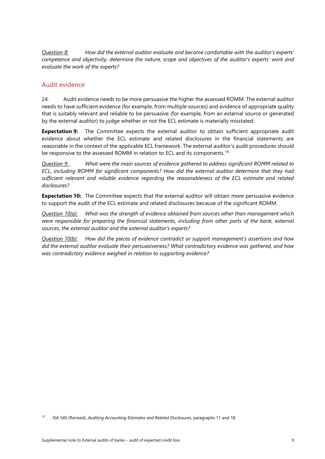*Question 8: How did the external auditor evaluate and become comfortable with the auditor's experts' competence and objectivity, determine the nature, scope and objectives of the auditor's experts' work and evaluate the work of the experts?*

#### Audit evidence

24. Audit evidence needs to be more persuasive the higher the assessed ROMM. The external auditor needs to have sufficient evidence (for example, from multiple sources) and evidence of appropriate quality that is suitably relevant and reliable to be persuasive (for example, from an external source or generated by the external auditor) to judge whether or not the ECL estimate is materially misstated.

**Expectation 9:** The Committee expects the external auditor to obtain sufficient appropriate audit evidence about whether the ECL estimate and related disclosures in the financial statements are reasonable in the context of the applicable ECL framework. The external auditor's audit procedures should be responsive to the assessed ROMM in relation to ECL and its components.<sup>[19](#page-12-0)</sup>

*Question 9: What were the main sources of evidence gathered to address significant ROMM related to ECL, including ROMM for significant components? How did the external auditor determine that they had sufficient relevant and reliable evidence regarding the reasonableness of the ECL estimate and related disclosures?*

**Expectation 10:** The Committee expects that the external auditor will obtain more persuasive evidence to support the audit of the ECL estimate and related disclosures because of the significant ROMM.

*Question 10(a): What was the strength of evidence obtained from sources other than management which were responsible for preparing the financial statements, including from other parts of the bank, external sources, the external auditor and the external auditor's experts?*

*Question 10(b): How did the pieces of evidence contradict or support management's assertions and how did the external auditor evaluate their persuasiveness? What contradictory evidence was gathered, and how was contradictory evidence weighed in relation to supporting evidence?*

<span id="page-12-0"></span><sup>19</sup> ISA 540 (Revised), *Auditing Accounting Estimates and Related Disclosures,* paragraphs 11 and 18.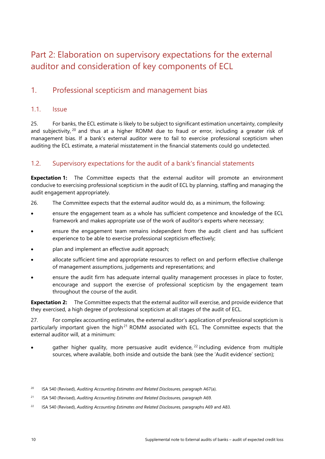# <span id="page-13-0"></span>Part 2: Elaboration on supervisory expectations for the external auditor and consideration of key components of ECL

# <span id="page-13-1"></span>1. Professional scepticism and management bias

#### <span id="page-13-2"></span>1.1. Issue

25. For banks, the ECL estimate is likely to be subject to significant estimation uncertainty, complexity and subjectivity, <sup>[20](#page-13-4)</sup> and thus at a higher ROMM due to fraud or error, including a greater risk of management bias. If a bank's external auditor were to fail to exercise professional scepticism when auditing the ECL estimate, a material misstatement in the financial statements could go undetected.

#### <span id="page-13-3"></span>1.2. Supervisory expectations for the audit of a bank's financial statements

**Expectation 1:** The Committee expects that the external auditor will promote an environment conducive to exercising professional scepticism in the audit of ECL by planning, staffing and managing the audit engagement appropriately.

- 26. The Committee expects that the external auditor would do, as a minimum, the following:
- ensure the engagement team as a whole has sufficient competence and knowledge of the ECL framework and makes appropriate use of the work of auditor's experts where necessary;
- ensure the engagement team remains independent from the audit client and has sufficient experience to be able to exercise professional scepticism effectively;
- plan and implement an effective audit approach;
- allocate sufficient time and appropriate resources to reflect on and perform effective challenge of management assumptions, judgements and representations; and
- ensure the audit firm has adequate internal quality management processes in place to foster, encourage and support the exercise of professional scepticism by the engagement team throughout the course of the audit.

**Expectation 2:** The Committee expects that the external auditor will exercise, and provide evidence that they exercised, a high degree of professional scepticism at all stages of the audit of ECL.

27. For complex accounting estimates, the external auditor's application of professional scepticism is particularly important given the high<sup>[21](#page-13-5)</sup> ROMM associated with ECL. The Committee expects that the external auditor will, at a minimum:

gather higher quality, more persuasive audit evidence,  $^{22}$  $^{22}$  $^{22}$  including evidence from multiple sources, where available, both inside and outside the bank (see the 'Audit evidence' section);

<span id="page-13-4"></span><sup>20</sup> ISA 540 (Revised), *Auditing Accounting Estimates and Related Disclosures*, paragraph A67(a).

<span id="page-13-5"></span><sup>&</sup>lt;sup>21</sup> ISA 540 (Revised), *Auditing Accounting Estimates and Related Disclosures*, paragraph A69.

<span id="page-13-6"></span><sup>&</sup>lt;sup>22</sup> ISA 540 (Revised), *Auditing Accounting Estimates and Related Disclosures*, paragraphs A69 and A83.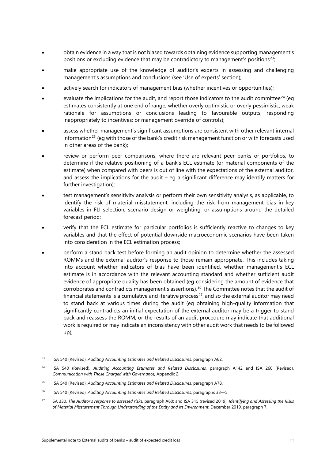- obtain evidence in a way that is not biased towards obtaining evidence supporting management's positions or excluding evidence that may be contradictory to management's positions<sup>23</sup>;
- make appropriate use of the knowledge of auditor's experts in assessing and challenging management's assumptions and conclusions (see 'Use of experts' section);
- actively search for indicators of management bias (whether incentives or opportunities);
- evaluate the implications for the audit, and report those indicators to the audit committee<sup>[24](#page-14-1)</sup> (eq estimates consistently at one end of range, whether overly optimistic or overly pessimistic; weak rationale for assumptions or conclusions leading to favourable outputs; responding inappropriately to incentives; or management override of controls);
- assess whether management's significant assumptions are consistent with other relevant internal information<sup>[25](#page-14-2)</sup> (eg with those of the bank's credit risk management function or with forecasts used in other areas of the bank);
- review or perform peer comparisons, where there are relevant peer banks or portfolios, to determine if the relative positioning of a bank's ECL estimate (or material components of the estimate) when compared with peers is out of line with the expectations of the external auditor, and assess the implications for the audit – eg a significant difference may identify matters for further investigation);
- test management's sensitivity analysis or perform their own sensitivity analysis, as applicable, to identify the risk of material misstatement, including the risk from management bias in key variables in FLI selection, scenario design or weighting, or assumptions around the detailed forecast period;
- verify that the ECL estimate for particular portfolios is sufficiently reactive to changes to key variables and that the effect of potential downside macroeconomic scenarios have been taken into consideration in the ECL estimation process;
- perform a stand back test before forming an audit opinion to determine whether the assessed ROMMs and the external auditor's response to those remain appropriate. This includes taking into account whether indicators of bias have been identified, whether management's ECL estimate is in accordance with the relevant accounting standard and whether sufficient audit evidence of appropriate quality has been obtained (eg considering the amount of evidence that corroborates and contradicts management's assertions). [26](#page-14-3) The Committee notes that the audit of financial statements is a cumulative and iterative process<sup>[27](#page-14-4)</sup>, and so the external auditor may need to stand back at various times during the audit (eg obtaining high-quality information that significantly contradicts an initial expectation of the external auditor may be a trigger to stand back and reassess the ROMM; or the results of an audit procedure may indicate that additional work is required or may indicate an inconsistency with other audit work that needs to be followed up);
- <span id="page-14-0"></span><sup>23</sup> ISA 540 (Revised), *Auditing Accounting Estimates and Related Disclosures*, paragraph A82.
- <span id="page-14-1"></span><sup>24</sup> ISA 540 (Revised), *Auditing Accounting Estimates and Related Disclosures,* paragraph A142 and ISA 260 (Revised), *Communication with Those Charged with Governance,* Appendix 2.
- <span id="page-14-2"></span><sup>25</sup> ISA 540 (Revised), *Auditing Accounting Estimates and Related Disclosures*, paragraph A78.
- <span id="page-14-3"></span><sup>26</sup> ISA 540 (Revised), *Auditing Accounting Estimates and Related Disclosures*, paragraphs 33-5.
- <span id="page-14-4"></span><sup>27</sup> SA 330, *The Auditor's response to assessed risks*, paragraph A60; and ISA 315 (revised 2019), *Identifying and Assessing the Risks of Material Misstatement Through Understanding of the Entity and Its Environment*, December 2019, paragraph 7.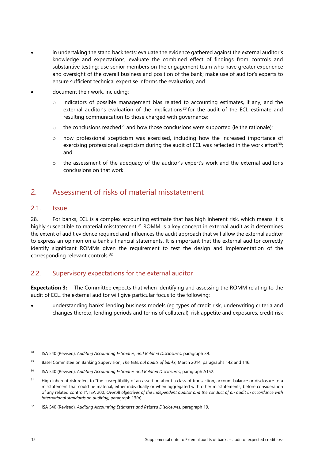- in undertaking the stand back tests: evaluate the evidence gathered against the external auditor's knowledge and expectations; evaluate the combined effect of findings from controls and substantive testing; use senior members on the engagement team who have greater experience and oversight of the overall business and position of the bank; make use of auditor's experts to ensure sufficient technical expertise informs the evaluation; and
- document their work, including:
	- indicators of possible management bias related to accounting estimates, if any, and the external auditor's evaluation of the implications<sup>[28](#page-15-3)</sup> for the audit of the ECL estimate and resulting communication to those charged with governance;
	- $\circ$  the conclusions reached<sup>[29](#page-15-4)</sup> and how those conclusions were supported (ie the rationale);
	- o how professional scepticism was exercised, including how the increased importance of exercising professional scepticism during the audit of ECL was reflected in the work effort $30$ ; and
	- o the assessment of the adequacy of the auditor's expert's work and the external auditor's conclusions on that work.

# <span id="page-15-0"></span>2. Assessment of risks of material misstatement

#### <span id="page-15-1"></span>2.1 Issue

28. For banks, ECL is a complex accounting estimate that has high inherent risk, which means it is highly susceptible to material misstatement.<sup>[31](#page-15-6)</sup> ROMM is a key concept in external audit as it determines the extent of audit evidence required and influences the audit approach that will allow the external auditor to express an opinion on a bank's financial statements. It is important that the external auditor correctly identify significant ROMMs given the requirement to test the design and implementation of the corresponding relevant controls.<sup>[32](#page-15-7)</sup>

#### <span id="page-15-2"></span>2.2. Supervisory expectations for the external auditor

**Expectation 3:** The Committee expects that when identifying and assessing the ROMM relating to the audit of ECL, the external auditor will give particular focus to the following:

• understanding banks' lending business models (eg types of credit risk, underwriting criteria and changes thereto, lending periods and terms of collateral), risk appetite and exposures, credit risk

- <span id="page-15-4"></span><sup>29</sup> Basel Committee on Banking Supervision, *The External audits of banks*, March 2014, paragraphs 142 and 146.
- <span id="page-15-5"></span><sup>30</sup> ISA 540 (Revised), *Auditing Accounting Estimates and Related Disclosures,* paragraph A152.
- <span id="page-15-6"></span><sup>31</sup> High inherent risk refers to "the susceptibility of an assertion about a class of transaction, account balance or disclosure to a misstatement that could be material, either individually or when aggregated with other misstatements, before consideration of any related controls", ISA 200, *Overall objectives of the independent auditor and the conduct of an audit in accordance with international standards on auditing,* paragraph 13(n).
- <span id="page-15-7"></span><sup>32</sup> ISA 540 (Revised), *Auditing Accounting Estimates and Related Disclosures,* paragraph 19.

<span id="page-15-3"></span><sup>&</sup>lt;sup>28</sup> ISA 540 (Revised), *Auditing Accounting Estimates, and Related Disclosures, paragraph 39.*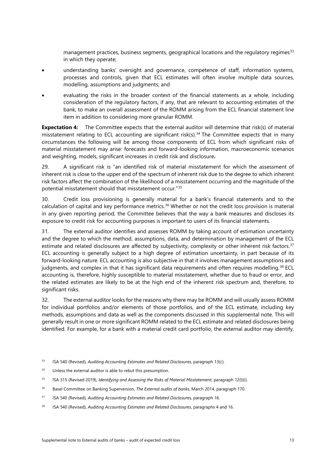management practices, business segments, geographical locations and the regulatory regimes<sup>[33](#page-16-0)</sup> in which they operate;

- understanding banks' oversight and governance, competence of staff, information systems, processes and controls, given that ECL estimates will often involve multiple data sources, modelling, assumptions and judgments; and
- evaluating the risks in the broader context of the financial statements as a whole, including consideration of the regulatory factors, if any, that are relevant to accounting estimates of the bank, to make an overall assessment of the ROMM arising from the ECL financial statement line item in addition to considering more granular ROMM.

**Expectation 4:** The Committee expects that the external auditor will determine that risk(s) of material misstatement relating to ECL accounting are significant risk(s). [34](#page-16-1) The Committee expects that in many circumstances the following will be among those components of ECL from which significant risks of material misstatement may arise: forecasts and forward-looking information, macroeconomic scenarios and weighting, models, significant increases in credit risk and disclosure**.**

29. A significant risk is "an identified risk of material misstatement for which the assessment of inherent risk is close to the upper end of the spectrum of inherent risk due to the degree to which inherent risk factors affect the combination of the likelihood of a misstatement occurring and the magnitude of the potential misstatement should that misstatement occur."[35](#page-16-2)

30. Credit loss provisioning is generally material for a bank's financial statements and to the calculation of capital and key performance metrics.<sup>[36](#page-16-3)</sup> Whether or not the credit loss provision is material in any given reporting period, the Committee believes that the way a bank measures and discloses its exposure to credit risk for accounting purposes is important to users of its financial statements.

31. The external auditor identifies and assesses ROMM by taking account of estimation uncertainty and the degree to which the method, assumptions, data, and determination by management of the ECL estimate and related disclosures are affected by subjectivity, complexity or other inherent risk factors.<sup>[37](#page-16-4)</sup> ECL accounting is generally subject to a high degree of estimation uncertainty, in part because of its forward-looking nature. ECL accounting is also subjective in that it involves management assumptions and judgments, and complex in that it has significant data requirements and often requires modelling.<sup>[38](#page-16-5)</sup> ECL accounting is, therefore, highly susceptible to material misstatement, whether due to fraud or error, and the related estimates are likely to be at the high end of the inherent risk spectrum and, therefore, to significant risks.

32. The external auditor looks for the reasons why there may be ROMM and will usually assess ROMM for individual portfolios and/or elements of those portfolios, and of the ECL estimate, including key methods, assumptions and data as well as the components discussed in this supplemental note. This will generally result in one or more significant ROMM related to the ECL estimate and related disclosures being identified. For example, for a bank with a material credit card portfolio, the external auditor may identify,

- <span id="page-16-0"></span><sup>33</sup> ISA 540 (Revised), *Auditing Accounting Estimates and Related Disclosures,* paragraph 13(c).
- <span id="page-16-1"></span><sup>34</sup> Unless the external auditor is able to rebut this presumption.
- <span id="page-16-2"></span><sup>35</sup> ISA 315 (Revised 2019), *Identifying and Assessing the Risks of Material Misstatement,* paragraph 12(l)(i).
- <span id="page-16-3"></span><sup>36</sup> Basel Committee on Banking Superversion, *The External audits of banks,* March 2014, paragraph 170.
- <span id="page-16-4"></span><sup>37</sup> ISA 540 (Revised), *Auditing Accounting Estimates and Related Disclosures,* paragraph 16.
- <span id="page-16-5"></span><sup>38</sup> ISA 540 (Revised), *Auditing Accounting Estimates and Related Disclosures*, paragraphs 4 and 16.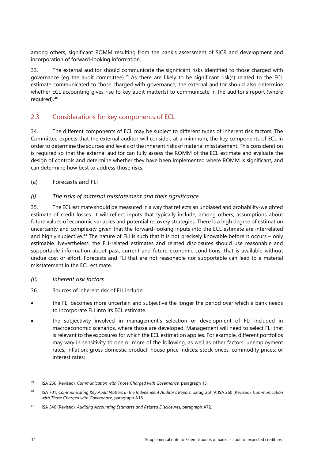among others, significant ROMM resulting from the bank's assessment of SICR and development and incorporation of forward-looking information.

33. The external auditor should communicate the significant risks identified to those charged with governance (eg the audit committee).<sup>[39](#page-17-1)</sup> As there are likely to be significant risk(s) related to the ECL estimate communicated to those charged with governance, the external auditor should also determine whether ECL accounting gives rise to key audit matter(s) to communicate in the auditor's report (where required).<sup>[40](#page-17-2)</sup>

#### <span id="page-17-0"></span>2.3. Considerations for key components of ECL

34. The different components of ECL may be subject to different types of inherent risk factors. The Committee expects that the external auditor will consider, at a minimum, the key components of ECL in order to determine the sources and levels of the inherent risks of material misstatement. This consideration is required so that the external auditor can fully assess the ROMM of the ECL estimate and evaluate the design of controls and determine whether they have been implemented where ROMM is significant, and can determine how best to address those risks.

#### (a) Forecasts and FLI

#### *(i) The risks of material misstatement and their significance*

35. The ECL estimate should be measured in a way that reflects an unbiased and probability-weighted estimate of credit losses. It will reflect inputs that typically include, among others, assumptions about future values of economic variables and potential recovery strategies. There is a high degree of estimation uncertainty and complexity given that the forward-looking inputs into the ECL estimate are interrelated and highly subjective.<sup>[41](#page-17-3)</sup> The nature of FLI is such that it is not precisely knowable before it occurs – only estimable. Nevertheless, the FLI-related estimates and related disclosures should use reasonable and supportable information about past, current and future economic conditions, that is available without undue cost or effort. Forecasts and FLI that are not reasonable nor supportable can lead to a material misstatement in the ECL estimate.

- *(ii) Inherent risk factors*
- 36. Sources of inherent risk of FLI include:
- the FLI becomes more uncertain and subjective the longer the period over which a bank needs to incorporate FLI into its ECL estimate.
- the subjectivity involved in management's selection or development of FLI included in macroeconomic scenarios, where those are developed. Management will need to select FLI that is relevant to the exposures for which the ECL estimation applies. For example, different portfolios may vary in sensitivity to one or more of the following, as well as other factors: unemployment rates; inflation; gross domestic product; house price indices; stock prices; commodity prices; or interest rates;

<span id="page-17-1"></span><sup>39</sup> ISA 260 (Revised), *Communication with Those Charged with Governance,* paragraph 15.

<span id="page-17-2"></span><sup>40</sup> ISA 701, *Communicating Key Audit Matters in the Independent Auditor's Report*, paragraph 9; ISA 260 (Revised), *Communication with Those Charged with Governance,* paragraph A18.

<span id="page-17-3"></span><sup>41</sup> ISA 540 (Revised), *Auditing Accounting Estimates and Related Disclosures*, paragraph A72.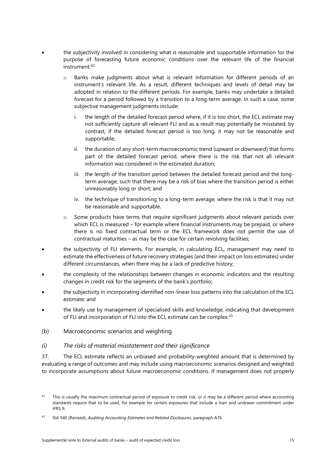- the subjectivity involved in considering what is reasonable and supportable information for the purpose of forecasting future economic conditions over the relevant life of the financial instrument: [42](#page-18-0)
	- o Banks make judgments about what is relevant information for different periods of an instrument's relevant life. As a result, different techniques and levels of detail may be adopted in relation to the different periods. For example, banks may undertake a detailed forecast for a period followed by a transition to a long-term average. In such a case, some subjective management judgments include:
		- i. the length of the detailed forecast period where, if it is too short, the ECL estimate may not sufficiently capture all relevant FLI and as a result may potentially be misstated; by contrast, if the detailed forecast period is too long, it may not be reasonable and supportable;
		- ii. the duration of any short-term macroeconomic trend (upward or downward) that forms part of the detailed forecast period, where there is the risk that not all relevant information was considered in the estimated duration;
		- iii. the length of the transition period between the detailed forecast period and the longterm average, such that there may be a risk of bias where the transition period is either unreasonably long or short; and
		- iv. the technique of transitioning to a long-term average, where the risk is that it may not be reasonable and supportable.
	- $\circ$  Some products have terms that require significant judgments about relevant periods over which ECL is measured – for example where financial instruments may be prepaid, or where there is no fixed contractual term or the ECL framework does not permit the use of contractual maturities – as may be the case for certain revolving facilities;
- the subjectivity of FLI elements. For example, in calculating ECL, management may need to estimate the effectiveness of future recovery strategies (and their impact on loss estimates) under different circumstances, when there may be a lack of predictive history;
- the complexity of the relationships between changes in economic indicators and the resulting changes in credit risk for the segments of the bank's portfolio;
- the subjectivity in incorporating identified non-linear loss patterns into the calculation of the ECL estimate; and
- the likely use by management of specialised skills and knowledge, indicating that development of FLI and incorporation of FLI into the ECL estimate can be complex.<sup>[43](#page-18-1)</sup>
- (b) Macroeconomic scenarios and weighting

#### *(i) The risks of material misstatement and their significance*

37. The ECL estimate reflects an unbiased and probability-weighted amount that is determined by evaluating a range of outcomes and may include using macroeconomic scenarios designed and weighted to incorporate assumptions about future macroeconomic conditions. If management does not properly

<span id="page-18-0"></span> $42$  This is usually the maximum contractual period of exposure to credit risk, or it may be a different period where accounting standards require that to be used, for example for certain exposures that include a loan and undrawn commitment under IFRS 9.

<span id="page-18-1"></span><sup>43</sup> ISA 540 (Revised), *Auditing Accounting Estimates and Related Disclosures*, paragraph A76.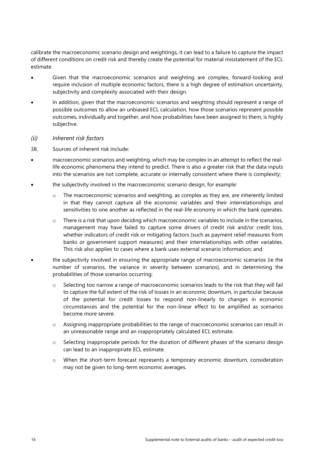calibrate the macroeconomic scenario design and weightings, it can lead to a failure to capture the impact of different conditions on credit risk and thereby create the potential for material misstatement of the ECL estimate.

- Given that the macroeconomic scenarios and weighting are complex, forward-looking and require inclusion of multiple economic factors, there is a high degree of estimation uncertainty, subjectivity and complexity associated with their design.
- In addition, given that the macroeconomic scenarios and weighting should represent a range of possible outcomes to allow an unbiased ECL calculation, how those scenarios represent possible outcomes, individually and together, and how probabilities have been assigned to them, is highly subjective.
- *(ii) Inherent risk factors*
- 38. Sources of inherent risk include:
- macroeconomic scenarios and weighting, which may be complex in an attempt to reflect the reallife economic phenomena they intend to predict. There is also a greater risk that the data inputs into the scenarios are not complete, accurate or internally consistent where there is complexity;
- the subjectivity involved in the macroeconomic scenario design, for example:
	- $\circ$  The macroeconomic scenarios and weighting, as complex as they are, are inherently limited in that they cannot capture all the economic variables and their interrelationships and sensitivities to one another as reflected in the real-life economy in which the bank operates.
	- $\circ$  There is a risk that upon deciding which macroeconomic variables to include in the scenarios, management may have failed to capture some drivers of credit risk and/or credit loss, whether indicators of credit risk or mitigating factors (such as payment relief measures from banks or government support measures) and their interrelationships with other variables. This risk also applies to cases where a bank uses external scenario information; and
- the subjectivity involved in ensuring the appropriate range of macroeconomic scenarios (ie the number of scenarios, the variance in severity between scenarios), and in determining the probabilities of those scenarios occurring:
	- o Selecting too narrow a range of macroeconomic scenarios leads to the risk that they will fail to capture the full extent of the risk of losses in an economic downturn, in particular because of the potential for credit losses to respond non-linearly to changes in economic circumstances and the potential for the non-linear effect to be amplified as scenarios become more severe.
	- o Assigning inappropriate probabilities to the range of macroeconomic scenarios can result in an unreasonable range and an inappropriately calculated ECL estimate.
	- $\circ$  Selecting inappropriate periods for the duration of different phases of the scenario design can lead to an inappropriate ECL estimate.
	- o When the short-term forecast represents a temporary economic downturn, consideration may not be given to long-term economic averages.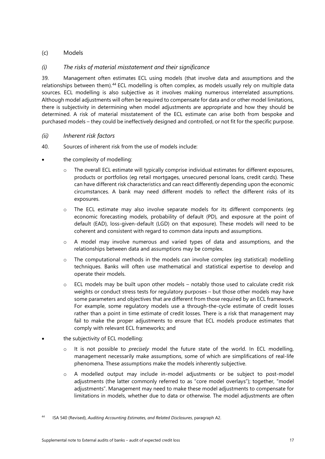#### (c) Models

#### *(i) The risks of material misstatement and their significance*

39. Management often estimates ECL using models (that involve data and assumptions and the relationships between them).<sup>[44](#page-20-0)</sup> ECL modelling is often complex, as models usually rely on multiple data sources. ECL modelling is also subjective as it involves making numerous interrelated assumptions. Although model adjustments will often be required to compensate for data and or other model limitations, there is subjectivity in determining when model adjustments are appropriate and how they should be determined. A risk of material misstatement of the ECL estimate can arise both from bespoke and purchased models – they could be ineffectively designed and controlled, or not fit for the specific purpose.

#### *(ii) Inherent risk factors*

#### 40. Sources of inherent risk from the use of models include:

- the complexity of modelling:
	- o The overall ECL estimate will typically comprise individual estimates for different exposures, products or portfolios (eg retail mortgages, unsecured personal loans, credit cards). These can have different risk characteristics and can react differently depending upon the economic circumstances. A bank may need different models to reflect the different risks of its exposures.
	- $\circ$  The ECL estimate may also involve separate models for its different components (eq economic forecasting models, probability of default (PD), and exposure at the point of default (EAD), loss-given-default (LGD) on that exposure). These models will need to be coherent and consistent with regard to common data inputs and assumptions.
	- $\circ$  A model may involve numerous and varied types of data and assumptions, and the relationships between data and assumptions may be complex.
	- $\circ$  The computational methods in the models can involve complex (eq statistical) modelling techniques. Banks will often use mathematical and statistical expertise to develop and operate their models.
	- $\circ$  ECL models may be built upon other models notably those used to calculate credit risk weights or conduct stress tests for regulatory purposes – but those other models may have some parameters and objectives that are different from those required by an ECL framework. For example, some regulatory models use a through-the-cycle estimate of credit losses rather than a point in time estimate of credit losses. There is a risk that management may fail to make the proper adjustments to ensure that ECL models produce estimates that comply with relevant ECL frameworks; and
- the subjectivity of ECL modelling:
	- o It is not possible to *precisely* model the future state of the world. In ECL modelling, management necessarily make assumptions, some of which are simplifications of real-life phenomena. These assumptions make the models inherently subjective.
	- o A modelled output may include in-model adjustments or be subject to post-model adjustments (the latter commonly referred to as "core model overlays"); together, "model adjustments". Management may need to make these model adjustments to compensate for limitations in models, whether due to data or otherwise. The model adjustments are often

<span id="page-20-0"></span><sup>44</sup> ISA 540 (Revised), *Auditing Accounting Estimates, and Related Disclosures*, paragraph A2.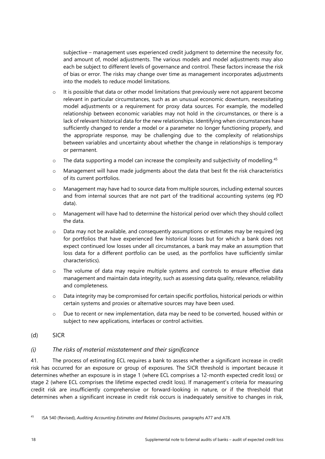subjective – management uses experienced credit judgment to determine the necessity for, and amount of, model adjustments. The various models and model adjustments may also each be subject to different levels of governance and control. These factors increase the risk of bias or error. The risks may change over time as management incorporates adjustments into the models to reduce model limitations.

- o It is possible that data or other model limitations that previously were not apparent become relevant in particular circumstances, such as an unusual economic downturn, necessitating model adjustments or a requirement for proxy data sources. For example, the modelled relationship between economic variables may not hold in the circumstances, or there is a lack of relevant historical data for the new relationships. Identifying when circumstances have sufficiently changed to render a model or a parameter no longer functioning properly, and the appropriate response, may be challenging due to the complexity of relationships between variables and uncertainty about whether the change in relationships is temporary or permanent.
- $\circ$  The data supporting a model can increase the complexity and subjectivity of modelling.<sup>[45](#page-21-0)</sup>
- $\circ$  Management will have made judgments about the data that best fit the risk characteristics of its current portfolios.
- o Management may have had to source data from multiple sources, including external sources and from internal sources that are not part of the traditional accounting systems (eg PD data).
- $\circ$  Management will have had to determine the historical period over which they should collect the data.
- o Data may not be available, and consequently assumptions or estimates may be required (eg for portfolios that have experienced few historical losses but for which a bank does not expect continued low losses under all circumstances, a bank may make an assumption that loss data for a different portfolio can be used, as the portfolios have sufficiently similar characteristics).
- o The volume of data may require multiple systems and controls to ensure effective data management and maintain data integrity, such as assessing data quality, relevance, reliability and completeness.
- $\circ$  Data integrity may be compromised for certain specific portfolios, historical periods or within certain systems and proxies or alternative sources may have been used.
- o Due to recent or new implementation, data may be need to be converted, housed within or subject to new applications, interfaces or control activities.

#### (d) SICR

#### *(i) The risks of material misstatement and their significance*

41. The process of estimating ECL requires a bank to assess whether a significant increase in credit risk has occurred for an exposure or group of exposures. The SICR threshold is important because it determines whether an exposure is in stage 1 (where ECL comprises a 12-month expected credit loss) or stage 2 (where ECL comprises the lifetime expected credit loss). If management's criteria for measuring credit risk are insufficiently comprehensive or forward-looking in nature, or if the threshold that determines when a significant increase in credit risk occurs is inadequately sensitive to changes in risk,

<span id="page-21-0"></span><sup>45</sup> ISA 540 (Revised), *Auditing Accounting Estimates and Related Disclosures*, paragraphs A77 and A78.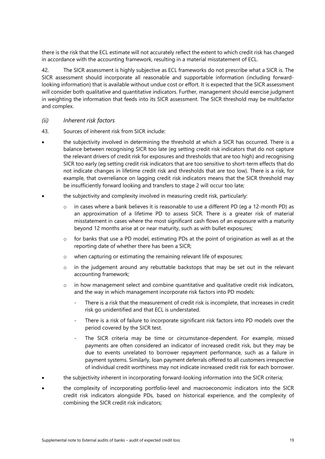there is the risk that the ECL estimate will not accurately reflect the extent to which credit risk has changed in accordance with the accounting framework, resulting in a material misstatement of ECL.

42. The SICR assessment is highly subjective as ECL frameworks do not prescribe what a SICR is. The SICR assessment should incorporate all reasonable and supportable information (including forwardlooking information) that is available without undue cost or effort. It is expected that the SICR assessment will consider both qualitative and quantitative indicators. Further, management should exercise judgment in weighting the information that feeds into its SICR assessment. The SICR threshold may be multifactor and complex.

#### *(ii) Inherent risk factors*

- 43. Sources of inherent risk from SICR include:
- the subjectivity involved in determining the threshold at which a SICR has occurred. There is a balance between recognising SICR too late (eg setting credit risk indicators that do not capture the relevant drivers of credit risk for exposures and thresholds that are too high) and recognising SICR too early (eg setting credit risk indicators that are too sensitive to short-term effects that do not indicate changes in lifetime credit risk and thresholds that are too low). There is a risk, for example, that overreliance on lagging credit risk indicators means that the SICR threshold may be insufficiently forward looking and transfers to stage 2 will occur too late;
- the subjectivity and complexity involved in measuring credit risk, particularly:
	- $\circ$  in cases where a bank believes it is reasonable to use a different PD (eq a 12-month PD) as an approximation of a lifetime PD to assess SICR. There is a greater risk of material misstatement in cases where the most significant cash flows of an exposure with a maturity beyond 12 months arise at or near maturity, such as with bullet exposures;
	- $\circ$  for banks that use a PD model, estimating PDs at the point of origination as well as at the reporting date of whether there has been a SICR;
	- o when capturing or estimating the remaining relevant life of exposures;
	- $\circ$  in the judgement around any rebuttable backstops that may be set out in the relevant accounting framework;
	- $\circ$  in how management select and combine quantitative and qualitative credit risk indicators, and the way in which management incorporate risk factors into PD models:
		- There is a risk that the measurement of credit risk is incomplete, that increases in credit risk go unidentified and that ECL is understated.
		- There is a risk of failure to incorporate significant risk factors into PD models over the period covered by the SICR test.
		- The SICR criteria may be time or circumstance-dependent. For example, missed payments are often considered an indicator of increased credit risk, but they may be due to events unrelated to borrower repayment performance, such as a failure in payment systems. Similarly, loan payment deferrals offered to all customers irrespective of individual credit worthiness may not indicate increased credit risk for each borrower.
- the subjectivity inherent in incorporating forward-looking information into the SICR criteria;
- the complexity of incorporating portfolio-level and macroeconomic indicators into the SICR credit risk indicators alongside PDs, based on historical experience, and the complexity of combining the SICR credit risk indicators;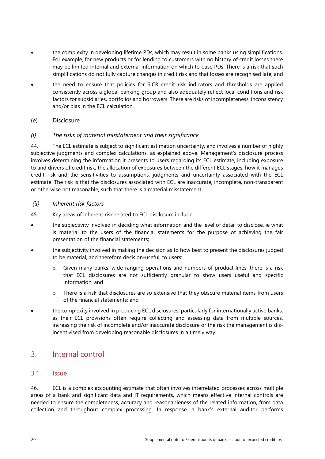- the complexity in developing lifetime PDs, which may result in some banks using simplifications. For example, for new products or for lending to customers with no history of credit losses there may be limited internal and external information on which to base PDs. There is a risk that such simplifications do not fully capture changes in credit risk and that losses are recognised late; and
- the need to ensure that policies for SICR credit risk indicators and thresholds are applied consistently across a global banking group and also adequately reflect local conditions and risk factors for subsidiaries, portfolios and borrowers. There are risks of incompleteness, inconsistency and/or bias in the ECL calculation.
- (e) Disclosure

#### *(i) The risks of material misstatement and their significance*

44. The ECL estimate is subject to significant estimation uncertainty, and involves a number of highly subjective judgments and complex calculations, as explained above. Management's disclosure process involves determining the information it presents to users regarding its ECL estimate, including exposure to and drivers of credit risk, the allocation of exposures between the different ECL stages, how it manages credit risk and the sensitivities to assumptions, judgments and uncertainty associated with the ECL estimate. The risk is that the disclosures associated with ECL are inaccurate, incomplete, non-transparent or otherwise not reasonable, such that there is a material misstatement.

- *(ii) Inherent risk factors*
- 45. Key areas of inherent risk related to ECL disclosure include:
- the subjectivity involved in deciding what information and the level of detail to disclose, ie what is material to the users of the financial statements for the purpose of achieving the fair presentation of the financial statements;
- the subjectivity involved in making the decision as to how best to present the disclosures judged to be material, and therefore decision-useful, to users:
	- $\circ$  Given many banks' wide-ranging operations and numbers of product lines, there is a risk that ECL disclosures are not sufficiently granular to show users useful and specific information; and
	- o There is a risk that disclosures are so extensive that they obscure material items from users of the financial statements; and
- the complexity involved in producing ECL disclosures, particularly for internationally active banks, as their ECL provisions often require collecting and assessing data from multiple sources, increasing the risk of incomplete and/or inaccurate disclosure or the risk the management is disincentivised from developing reasonable disclosures in a timely way.

## <span id="page-23-0"></span>3. Internal control

#### <span id="page-23-1"></span>3.1. Issue

46. ECL is a complex accounting estimate that often involves interrelated processes across multiple areas of a bank and significant data and IT requirements, which means effective internal controls are needed to ensure the completeness, accuracy and reasonableness of the related information, from data collection and throughout complex processing. In response, a bank's external auditor performs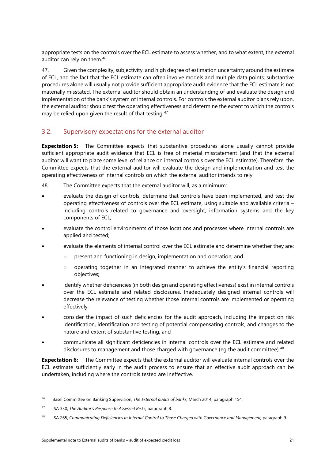appropriate tests on the controls over the ECL estimate to assess whether, and to what extent, the external auditor can rely on them.[46](#page-24-1)

47. Given the complexity, subjectivity, and high degree of estimation uncertainty around the estimate of ECL, and the fact that the ECL estimate can often involve models and multiple data points, substantive procedures alone will usually not provide sufficient appropriate audit evidence that the ECL estimate is not materially misstated. The external auditor should obtain an understanding of and evaluate the design and implementation of the bank's system of internal controls. For controls the external auditor plans rely upon, the external auditor should test the operating effectiveness and determine the extent to which the controls may be relied upon given the result of that testing.<sup>[47](#page-24-2)</sup>

#### <span id="page-24-0"></span>3.2. Supervisory expectations for the external auditor

**Expectation 5:** The Committee expects that substantive procedures alone usually cannot provide sufficient appropriate audit evidence that ECL is free of material misstatement (and that the external auditor will want to place some level of reliance on internal controls over the ECL estimate). Therefore, the Committee expects that the external auditor will evaluate the design and implementation and test the operating effectiveness of internal controls on which the external auditor intends to rely.

- 48. The Committee expects that the external auditor will, as a minimum:
- evaluate the design of controls, determine that controls have been implemented, and test the operating effectiveness of controls over the ECL estimate, using suitable and available criteria – including controls related to governance and oversight, information systems and the key components of ECL;
- evaluate the control environments of those locations and processes where internal controls are applied and tested;
- evaluate the elements of internal control over the ECL estimate and determine whether they are:
	- o present and functioning in design, implementation and operation; and
	- $\circ$  operating together in an integrated manner to achieve the entity's financial reporting objectives;
- identify whether deficiencies (in both design and operating effectiveness) exist in internal controls over the ECL estimate and related disclosures. Inadequately designed internal controls will decrease the relevance of testing whether those internal controls are implemented or operating effectively;
- consider the impact of such deficiencies for the audit approach, including the impact on risk identification, identification and testing of potential compensating controls, and changes to the nature and extent of substantive testing; and
- communicate all significant deficiencies in internal controls over the ECL estimate and related disclosures to management and those charged with governance (eg the audit committee).<sup>[48](#page-24-3)</sup>

**Expectation 6:** The Committee expects that the external auditor will evaluate internal controls over the ECL estimate sufficiently early in the audit process to ensure that an effective audit approach can be undertaken, including where the controls tested are ineffective.

<span id="page-24-1"></span><sup>46</sup> Basel Committee on Banking Supervision, *The External audits of banks,* March 2014, paragraph 154.

<span id="page-24-2"></span><sup>47</sup> ISA 330, *The Auditor's Response to Assessed Risks,* paragraph 8.

<span id="page-24-3"></span><sup>&</sup>lt;sup>48</sup> ISA 265, *Communicating Deficiencies in Internal Control to Those Charged with Governance and Management, paragraph 9.*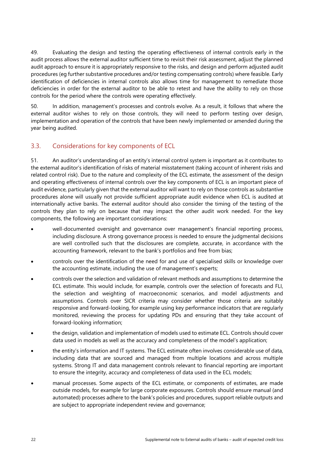49. Evaluating the design and testing the operating effectiveness of internal controls early in the audit process allows the external auditor sufficient time to revisit their risk assessment, adjust the planned audit approach to ensure it is appropriately responsive to the risks, and design and perform adjusted audit procedures (eg further substantive procedures and/or testing compensating controls) where feasible. Early identification of deficiencies in internal controls also allows time for management to remediate those deficiencies in order for the external auditor to be able to retest and have the ability to rely on those controls for the period where the controls were operating effectively.

50. In addition, management's processes and controls evolve. As a result, it follows that where the external auditor wishes to rely on those controls, they will need to perform testing over design, implementation and operation of the controls that have been newly implemented or amended during the year being audited.

#### <span id="page-25-0"></span>3.3. Considerations for key components of ECL

51. An auditor's understanding of an entity's internal control system is important as it contributes to the external auditor's identification of risks of material misstatement (taking account of inherent risks and related control risk). Due to the nature and complexity of the ECL estimate, the assessment of the design and operating effectiveness of internal controls over the key components of ECL is an important piece of audit evidence, particularly given that the external auditor will want to rely on those controls as substantive procedures alone will usually not provide sufficient appropriate audit evidence when ECL is audited at internationally active banks. The external auditor should also consider the timing of the testing of the controls they plan to rely on because that may impact the other audit work needed. For the key components, the following are important considerations:

- well-documented oversight and governance over management's financial reporting process, including disclosure. A strong governance process is needed to ensure the judgmental decisions are well controlled such that the disclosures are complete, accurate, in accordance with the accounting framework, relevant to the bank's portfolios and free from bias;
- controls over the identification of the need for and use of specialised skills or knowledge over the accounting estimate, including the use of management's experts;
- controls over the selection and validation of relevant methods and assumptions to determine the ECL estimate. This would include, for example, controls over the selection of forecasts and FLI, the selection and weighting of macroeconomic scenarios, and model adjustments and assumptions. Controls over SICR criteria may consider whether those criteria are suitably responsive and forward-looking, for example using key performance indicators that are regularly monitored, reviewing the process for updating PDs and ensuring that they take account of forward-looking information;
- the design, validation and implementation of models used to estimate ECL. Controls should cover data used in models as well as the accuracy and completeness of the model's application;
- the entity's information and IT systems. The ECL estimate often involves considerable use of data, including data that are sourced and managed from multiple locations and across multiple systems. Strong IT and data management controls relevant to financial reporting are important to ensure the integrity, accuracy and completeness of data used in the ECL models;
- manual processes. Some aspects of the ECL estimate, or components of estimates, are made outside models, for example for large corporate exposures. Controls should ensure manual (and automated) processes adhere to the bank's policies and procedures, support reliable outputs and are subject to appropriate independent review and governance;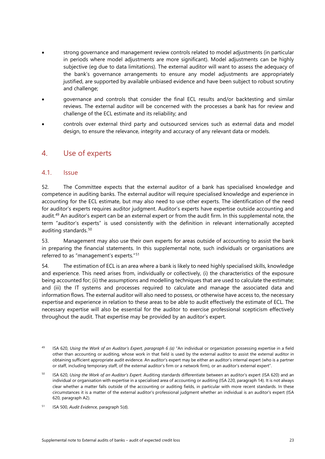- strong governance and management review controls related to model adjustments (in particular in periods where model adjustments are more significant). Model adjustments can be highly subjective (eg due to data limitations). The external auditor will want to assess the adequacy of the bank's governance arrangements to ensure any model adjustments are appropriately justified, are supported by available unbiased evidence and have been subject to robust scrutiny and challenge;
- governance and controls that consider the final ECL results and/or backtesting and similar reviews. The external auditor will be concerned with the processes a bank has for review and challenge of the ECL estimate and its reliability; and
- controls over external third party and outsourced services such as external data and model design, to ensure the relevance, integrity and accuracy of any relevant data or models.

## <span id="page-26-0"></span>4. Use of experts

#### <span id="page-26-1"></span>4.1. Issue

52. The Committee expects that the external auditor of a bank has specialised knowledge and competence in auditing banks. The external auditor will require specialised knowledge and experience in accounting for the ECL estimate, but may also need to use other experts. The identification of the need for auditor's experts requires auditor judgment. Auditor's experts have expertise outside accounting and audit.[49](#page-26-2) An auditor's expert can be an external expert or from the audit firm. In this supplemental note, the term "auditor's experts" is used consistently with the definition in relevant internationally accepted auditing standards.<sup>[50](#page-26-3)</sup>

53. Management may also use their own experts for areas outside of accounting to assist the bank in preparing the financial statements. In this supplemental note, such individuals or organisations are referred to as "management's experts."[51](#page-26-4)

54. The estimation of ECL is an area where a bank is likely to need highly specialised skills, knowledge and experience. This need arises from, individually or collectively, (i) the characteristics of the exposure being accounted for; (ii) the assumptions and modelling techniques that are used to calculate the estimate; and (iii) the IT systems and processes required to calculate and manage the associated data and information flows. The external auditor will also need to possess, or otherwise have access to, the necessary expertise and experience in relation to these areas to be able to audit effectively the estimate of ECL. The necessary expertise will also be essential for the auditor to exercise professional scepticism effectively throughout the audit. That expertise may be provided by an auditor's expert.

<span id="page-26-2"></span><sup>49</sup> ISA 620, *Using the Work of an Auditor's Expert, paragraph 6 (a)* "An individual or organization possessing expertise in a field other than accounting or auditing, whose work in that field is used by the external auditor to assist the external auditor in obtaining sufficient appropriate audit evidence. An auditor's expert may be either an auditor's internal expert (who is a partner or staff, including temporary staff, of the external auditor's firm or a network firm), or an auditor's external expert".

<span id="page-26-3"></span><sup>50</sup> ISA 620, *Using the Work of an Auditor's Expert*. Auditing standards differentiate between an auditor's expert (ISA 620) and an individual or organisation with expertise in a specialised area of accounting or auditing (ISA 220, paragraph 14). It is not always clear whether a matter falls outside of the accounting or auditing fields, in particular with more recent standards. In these circumstances it is a matter of the external auditor's professional judgment whether an individual is an auditor's expert (ISA 620, paragraph A2).

<span id="page-26-4"></span><sup>51</sup> ISA 500, *Audit Evidence,* paragraph 5(d).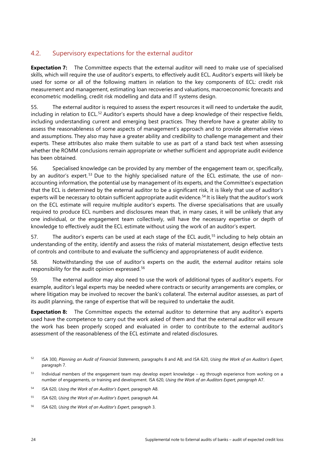### <span id="page-27-0"></span>4.2. Supervisory expectations for the external auditor

**Expectation 7:** The Committee expects that the external auditor will need to make use of specialised skills, which will require the use of auditor's experts, to effectively audit ECL. Auditor's experts will likely be used for some or all of the following matters in relation to the key components of ECL: credit risk measurement and management, estimating loan recoveries and valuations, macroeconomic forecasts and econometric modelling, credit risk modelling and data and IT systems design.

55. The external auditor is required to assess the expert resources it will need to undertake the audit, including in relation to ECL.<sup>[52](#page-27-1)</sup> Auditor's experts should have a deep knowledge of their respective fields, including understanding current and emerging best practices. They therefore have a greater ability to assess the reasonableness of some aspects of management's approach and to provide alternative views and assumptions. They also may have a greater ability and credibility to challenge management and their experts. These attributes also make them suitable to use as part of a stand back test when assessing whether the ROMM conclusions remain appropriate or whether sufficient and appropriate audit evidence has been obtained.

56. Specialised knowledge can be provided by any member of the engagement team or, specifically, by an auditor's expert.<sup>[53](#page-27-2)</sup> Due to the highly specialised nature of the ECL estimate, the use of nonaccounting information, the potential use by management of its experts, and the Committee's expectation that the ECL is determined by the external auditor to be a significant risk, it is likely that use of auditor's experts will be necessary to obtain sufficient appropriate audit evidence.<sup>[54](#page-27-3)</sup> It is likely that the auditor's work on the ECL estimate will require multiple auditor's experts. The diverse specialisations that are usually required to produce ECL numbers and disclosures mean that, in many cases, it will be unlikely that any one individual, or the engagement team collectively, will have the necessary expertise or depth of knowledge to effectively audit the ECL estimate without using the work of an auditor's expert.

57. The auditor's experts can be used at each stage of the ECL audit.<sup>[55](#page-27-4)</sup> including to help obtain an understanding of the entity, identify and assess the risks of material misstatement, design effective tests of controls and contribute to and evaluate the sufficiency and appropriateness of audit evidence.

58. Notwithstanding the use of auditor's experts on the audit, the external auditor retains sole responsibility for the audit opinion expressed.<sup>[56](#page-27-5)</sup>

59. The external auditor may also need to use the work of additional types of auditor's experts. For example, auditor's legal experts may be needed where contracts or security arrangements are complex, or where litigation may be involved to recover the bank's collateral. The external auditor assesses, as part of its audit planning, the range of expertise that will be required to undertake the audit.

**Expectation 8:** The Committee expects the external auditor to determine that any auditor's experts used have the competence to carry out the work asked of them and that the external auditor will ensure the work has been properly scoped and evaluated in order to contribute to the external auditor's assessment of the reasonableness of the ECL estimate and related disclosures.

<span id="page-27-1"></span><sup>52</sup> ISA 300, *Planning an Audit of Financial Statements*, paragraphs 8 and A8; and ISA 620, *Using the Work of an Auditor's Expert*, paragraph 7.

<span id="page-27-2"></span><sup>&</sup>lt;sup>53</sup> Individual members of the engagement team may develop expert knowledge – eg through experience from working on a number of engagements, or training and development. ISA 620, *Using the Work of an Auditors Expert, paragraph* A7.

<span id="page-27-3"></span><sup>54</sup> ISA 620, *Using the Work of an Auditor's Expert*, paragraph A8.

<span id="page-27-4"></span><sup>55</sup> ISA 620, *Using the Work of an Auditor's Expert,* paragraph A4.

<span id="page-27-5"></span><sup>56</sup> ISA 620, *Using the Work of an Auditor's Expert*, paragraph 3.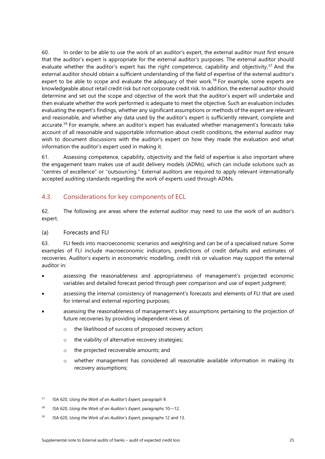60. In order to be able to use the work of an auditor's expert, the external auditor must first ensure that the auditor's expert is appropriate for the external auditor's purposes. The external auditor should evaluate whether the auditor's expert has the right competence, capability and objectivity.<sup>[57](#page-28-1)</sup> And the external auditor should obtain a sufficient understanding of the field of expertise of the external auditor's expert to be able to scope and evaluate the adequacy of their work.<sup>[58](#page-28-2)</sup> For example, some experts are knowledgeable about retail credit risk but not corporate credit risk. In addition, the external auditor should determine and set out the scope and objective of the work that the auditor's expert will undertake and then evaluate whether the work performed is adequate to meet the objective. Such an evaluation includes evaluating the expert's findings, whether any significant assumptions or methods of the expert are relevant and reasonable, and whether any data used by the auditor's expert is sufficiently relevant, complete and accurate.[59](#page-28-3) For example, where an auditor's expert has evaluated whether management's forecasts take account of all reasonable and supportable information about credit conditions, the external auditor may wish to document discussions with the auditor's expert on how they made the evaluation and what information the auditor's expert used in making it.

61. Assessing competence, capability, objectivity and the field of expertise is also important where the engagement team makes use of audit delivery models (ADMs), which can include solutions such as "centres of excellence" or "outsourcing." External auditors are required to apply relevant internationally accepted auditing standards regarding the work of experts used through ADMs.

#### <span id="page-28-0"></span>4.3. Considerations for key components of ECL

62. The following are areas where the external auditor may need to use the work of an auditor's expert.

#### (a) Forecasts and FLI

63. FLI feeds into macroeconomic scenarios and weighting and can be of a specialised nature. Some examples of FLI include macroeconomic indicators, predictions of credit defaults and estimates of recoveries. Auditor's experts in econometric modelling, credit risk or valuation may support the external auditor in:

- assessing the reasonableness and appropriateness of management's projected economic variables and detailed forecast period through peer comparison and use of expert judgment;
- assessing the internal consistency of management's forecasts and elements of FLI that are used for internal and external reporting purposes;
- assessing the reasonableness of management's key assumptions pertaining to the projection of future recoveries by providing independent views of:
	- o the likelihood of success of proposed recovery action;
	- o the viability of alternative recovery strategies;
	- o the projected recoverable amounts; and
	- o whether management has considered all reasonable available information in making its recovery assumptions;

<span id="page-28-3"></span><sup>59</sup> ISA 620, *Using the Work of an Auditor's Expert,* paragraphs 12 and 13.

<span id="page-28-1"></span><sup>57</sup> ISA 620, *Using the Work of an Auditor's Expert,* paragraph 9.

<span id="page-28-2"></span><sup>58</sup> ISA 620, *Using the Work of an Auditor's Expert*, paragraphs 10—12.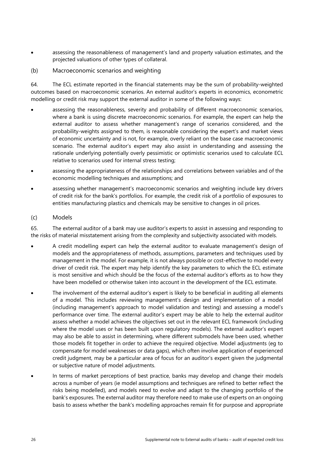- assessing the reasonableness of management's land and property valuation estimates, and the projected valuations of other types of collateral.
- (b) Macroeconomic scenarios and weighting

64. The ECL estimate reported in the financial statements may be the sum of probability-weighted outcomes based on macroeconomic scenarios. An external auditor's experts in economics, econometric modelling or credit risk may support the external auditor in some of the following ways:

- assessing the reasonableness, severity and probability of different macroeconomic scenarios, where a bank is using discrete macroeconomic scenarios. For example, the expert can help the external auditor to assess whether management's range of scenarios considered, and the probability-weights assigned to them, is reasonable considering the expert's and market views of economic uncertainty and is not, for example, overly reliant on the base case macroeconomic scenario. The external auditor's expert may also assist in understanding and assessing the rationale underlying potentially overly pessimistic or optimistic scenarios used to calculate ECL relative to scenarios used for internal stress testing;
- assessing the appropriateness of the relationships and correlations between variables and of the economic modelling techniques and assumptions; and
- assessing whether management's macroeconomic scenarios and weighting include key drivers of credit risk for the bank's portfolios. For example, the credit risk of a portfolio of exposures to entities manufacturing plastics and chemicals may be sensitive to changes in oil prices.
- (c) Models

65. The external auditor of a bank may use auditor's experts to assist in assessing and responding to the risks of material misstatement arising from the complexity and subjectivity associated with models.

- A credit modelling expert can help the external auditor to evaluate management's design of models and the appropriateness of methods, assumptions, parameters and techniques used by management in the model. For example, it is not always possible or cost-effective to model every driver of credit risk. The expert may help identify the key parameters to which the ECL estimate is most sensitive and which should be the focus of the external auditor's efforts as to how they have been modelled or otherwise taken into account in the development of the ECL estimate.
- The involvement of the external auditor's expert is likely to be beneficial in auditing all elements of a model. This includes reviewing management's design and implementation of a model (including management's approach to model validation and testing) and assessing a model's performance over time. The external auditor's expert may be able to help the external auditor assess whether a model achieves the objectives set out in the relevant ECL framework (including where the model uses or has been built upon regulatory models). The external auditor's expert may also be able to assist in determining, where different submodels have been used, whether those models fit together in order to achieve the required objective. Model adjustments (eg to compensate for model weaknesses or data gaps), which often involve application of experienced credit judgment, may be a particular area of focus for an auditor's expert given the judgmental or subjective nature of model adjustments.
- In terms of market perceptions of best practice, banks may develop and change their models across a number of years (ie model assumptions and techniques are refined to better reflect the risks being modelled), and models need to evolve and adapt to the changing portfolio of the bank's exposures. The external auditor may therefore need to make use of experts on an ongoing basis to assess whether the bank's modelling approaches remain fit for purpose and appropriate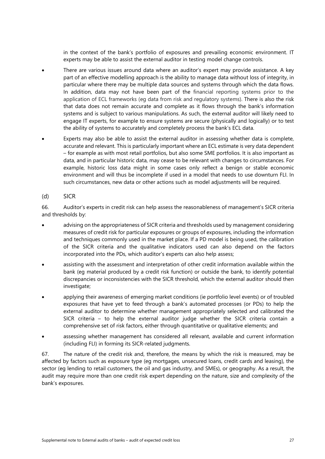in the context of the bank's portfolio of exposures and prevailing economic environment. IT experts may be able to assist the external auditor in testing model change controls.

- There are various issues around data where an auditor's expert may provide assistance. A key part of an effective modelling approach is the ability to manage data without loss of integrity, in particular where there may be multiple data sources and systems through which the data flows. In addition, data may not have been part of the financial reporting systems prior to the application of ECL frameworks (eg data from risk and regulatory systems). There is also the risk that data does not remain accurate and complete as it flows through the bank's information systems and is subject to various manipulations. As such, the external auditor will likely need to engage IT experts, for example to ensure systems are secure (physically and logically) or to test the ability of systems to accurately and completely process the bank's ECL data.
- Experts may also be able to assist the external auditor in assessing whether data is complete, accurate and relevant. This is particularly important where an ECL estimate is very data dependent – for example as with most retail portfolios, but also some SME portfolios. It is also important as data, and in particular historic data, may cease to be relevant with changes to circumstances. For example, historic loss data might in some cases only reflect a benign or stable economic environment and will thus be incomplete if used in a model that needs to use downturn FLI. In such circumstances, new data or other actions such as model adjustments will be required.
- (d) SICR

66. Auditor's experts in credit risk can help assess the reasonableness of management's SICR criteria and thresholds by:

- advising on the appropriateness of SICR criteria and thresholds used by management considering measures of credit risk for particular exposures or groups of exposures, including the information and techniques commonly used in the market place. If a PD model is being used, the calibration of the SICR criteria and the qualitative indicators used can also depend on the factors incorporated into the PDs, which auditor's experts can also help assess;
- assisting with the assessment and interpretation of other credit information available within the bank (eg material produced by a credit risk function) or outside the bank, to identify potential discrepancies or inconsistencies with the SICR threshold, which the external auditor should then investigate;
- applying their awareness of emerging market conditions (ie portfolio level events) or of troubled exposures that have yet to feed through a bank's automated processes (or PDs) to help the external auditor to determine whether management appropriately selected and calibrated the SICR criteria – to help the external auditor judge whether the SICR criteria contain a comprehensive set of risk factors, either through quantitative or qualitative elements; and
- assessing whether management has considered all relevant, available and current information (including FLI) in forming its SICR-related judgments.

67. The nature of the credit risk and, therefore, the means by which the risk is measured, may be affected by factors such as exposure type (eg mortgages, unsecured loans, credit cards and leasing), the sector (eg lending to retail customers, the oil and gas industry, and SMEs), or geography. As a result, the audit may require more than one credit risk expert depending on the nature, size and complexity of the bank's exposures.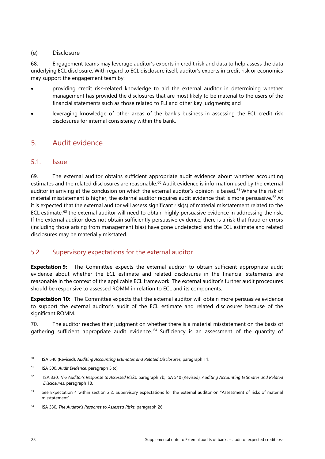#### (e) Disclosure

68. Engagement teams may leverage auditor's experts in credit risk and data to help assess the data underlying ECL disclosure. With regard to ECL disclosure itself, auditor's experts in credit risk or economics may support the engagement team by:

- providing credit risk-related knowledge to aid the external auditor in determining whether management has provided the disclosures that are most likely to be material to the users of the financial statements such as those related to FLI and other key judgments; and
- leveraging knowledge of other areas of the bank's business in assessing the ECL credit risk disclosures for internal consistency within the bank.

# <span id="page-31-0"></span>5. Audit evidence

#### <span id="page-31-1"></span>5.1. Issue

69. The external auditor obtains sufficient appropriate audit evidence about whether accounting estimates and the related disclosures are reasonable.<sup>[60](#page-31-3)</sup> Audit evidence is information used by the external auditor in arriving at the conclusion on which the external auditor's opinion is based.<sup>[61](#page-31-4)</sup> Where the risk of material misstatement is higher, the external auditor requires audit evidence that is more persuasive.<sup>[62](#page-31-5)</sup> As it is expected that the external auditor will assess significant risk(s) of material misstatement related to the ECL estimate,<sup>[63](#page-31-6)</sup> the external auditor will need to obtain highly persuasive evidence in addressing the risk. If the external auditor does not obtain sufficiently persuasive evidence, there is a risk that fraud or errors (including those arising from management bias) have gone undetected and the ECL estimate and related disclosures may be materially misstated.

#### <span id="page-31-2"></span>5.2. Supervisory expectations for the external auditor

**Expectation 9:** The Committee expects the external auditor to obtain sufficient appropriate audit evidence about whether the ECL estimate and related disclosures in the financial statements are reasonable in the context of the applicable ECL framework. The external auditor's further audit procedures should be responsive to assessed ROMM in relation to ECL and its components.

**Expectation 10:** The Committee expects that the external auditor will obtain more persuasive evidence to support the external auditor's audit of the ECL estimate and related disclosures because of the significant ROMM.

70. The auditor reaches their judgment on whether there is a material misstatement on the basis of gathering sufficient appropriate audit evidence. <sup>[64](#page-31-7)</sup> Sufficiency is an assessment of the quantity of

- <span id="page-31-3"></span><sup>60</sup> ISA 540 (Revised), *Auditing Accounting Estimates and Related Disclosures,* paragraph 11.
- <span id="page-31-4"></span><sup>61</sup> ISA 500, *Audit Evidence,* paragraph 5 (c).
- <span id="page-31-5"></span><sup>62</sup> ISA 330, *The Auditor's Response to Assessed Risks,* paragraph 7b; ISA 540 (Revised), *Auditing Accounting Estimates and Related Disclosures,* paragraph 18.
- <span id="page-31-6"></span><sup>63</sup> See Expectation 4 within section 2.2, Supervisory expectations for the external auditor on "Assessment of risks of material misstatement".
- <span id="page-31-7"></span><sup>64</sup> ISA 330, *The Auditor's Response to Assessed Risks*, paragraph 26.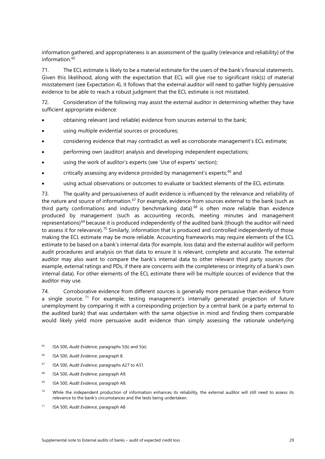information gathered, and appropriateness is an assessment of the quality (relevance and reliability) of the information.<sup>[65](#page-32-0)</sup>

71. The ECL estimate is likely to be a material estimate for the users of the bank's financial statements. Given this likelihood, along with the expectation that ECL will give rise to significant risk(s) of material misstatement (see Expectation 4), it follows that the external auditor will need to gather highly persuasive evidence to be able to reach a robust judgment that the ECL estimate is not misstated.

72. Consideration of the following may assist the external auditor in determining whether they have sufficient appropriate evidence:

- obtaining relevant (and reliable) evidence from sources external to the bank;
- using multiple evidential sources or procedures;
- considering evidence that may contradict as well as corroborate management's ECL estimate;
- performing own (auditor) analysis and developing independent expectations;
- using the work of auditor's experts (see 'Use of experts' section);
- critically assessing any evidence provided by management's experts;<sup>[66](#page-32-1)</sup> and
- using actual observations or outcomes to evaluate or backtest elements of the ECL estimate.

73. The quality and persuasiveness of audit evidence is influenced by the relevance and reliability of the nature and source of information.<sup>[67](#page-32-2)</sup> For example, evidence from sources external to the bank (such as third party confirmations and industry benchmarking data)<sup>[68](#page-32-3)</sup> is often more reliable than evidence produced by management (such as accounting records, meeting minutes and management representations)[69](#page-32-4) because it is produced independently of the audited bank (though the auditor will need to assess it for relevance).<sup>[70](#page-32-5)</sup> Similarly, information that is produced and controlled independently of those making the ECL estimate may be more reliable. Accounting frameworks may require elements of the ECL estimate to be based on a bank's internal data (for example, loss data) and the external auditor will perform audit procedures and analysis on that data to ensure it is relevant, complete and accurate. The external auditor may also want to compare the bank's internal data to other relevant third party sources (for example, external ratings and PDs, if there are concerns with the completeness or integrity of a bank's own internal data). For other elements of the ECL estimate there will be multiple sources of evidence that the auditor may use.

74. Corroborative evidence from different sources is generally more persuasive than evidence from a single source.<sup>[71](#page-32-6)</sup> For example, testing management's internally generated projection of future unemployment by comparing it with a corresponding projection by a central bank (ie a party external to the audited bank) that was undertaken with the same objective in mind and finding them comparable would likely yield more persuasive audit evidence than simply assessing the rationale underlying

- <span id="page-32-0"></span><sup>65</sup> ISA 500, *Audit Evidence*, paragraphs 5(b) and 5(e).
- <span id="page-32-1"></span><sup>66</sup> ISA 500, *Audit Evidence*, paragraph 8.
- <span id="page-32-2"></span><sup>67</sup> ISA 500, *Audit Evidence,* paragraphs A27 to A31.
- <span id="page-32-3"></span><sup>68</sup> ISA 500, *Audit Evidence,* paragraph A9.
- <span id="page-32-4"></span><sup>69</sup> ISA 500, *Audit Evidence,* paragraph A8.
- <span id="page-32-5"></span> $70$  While the independent production of information enhances its reliability, the external auditor will still need to assess its relevance to the bank's circumstances and the tests being undertaken.
- <span id="page-32-6"></span><sup>71</sup> ISA 500, *Audit Evidence,* paragraph A8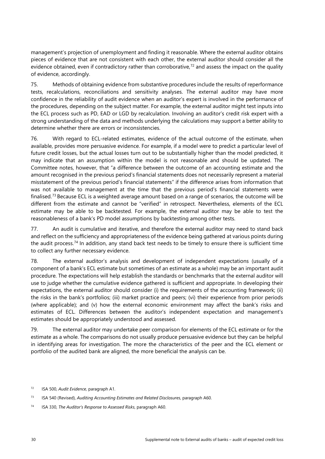management's projection of unemployment and finding it reasonable. Where the external auditor obtains pieces of evidence that are not consistent with each other, the external auditor should consider all the evidence obtained, even if contradictory rather than corroborative,<sup>[72](#page-33-0)</sup> and assess the impact on the quality of evidence, accordingly.

75. Methods of obtaining evidence from substantive procedures include the results of reperformance tests, recalculations, reconciliations and sensitivity analyses. The external auditor may have more confidence in the reliability of audit evidence when an auditor's expert is involved in the performance of the procedures, depending on the subject matter. For example, the external auditor might test inputs into the ECL process such as PD, EAD or LGD by recalculation. Involving an auditor's credit risk expert with a strong understanding of the data and methods underlying the calculations may support a better ability to determine whether there are errors or inconsistencies.

76. With regard to ECL-related estimates, evidence of the actual outcome of the estimate, when available, provides more persuasive evidence. For example, if a model were to predict a particular level of future credit losses, but the actual losses turn out to be substantially higher than the model predicted, it may indicate that an assumption within the model is not reasonable and should be updated. The Committee notes, however, that "a difference between the outcome of an accounting estimate and the amount recognised in the previous period's financial statements does not necessarily represent a material misstatement of the previous period's financial statements" if the difference arises from information that was not available to management at the time that the previous period's financial statements were finalised.<sup>[73](#page-33-1)</sup> Because ECL is a weighted average amount based on a range of scenarios, the outcome will be different from the estimate and cannot be "verified" in retrospect. Nevertheless, elements of the ECL estimate may be able to be backtested. For example, the external auditor may be able to test the reasonableness of a bank's PD model assumptions by backtesting among other tests.

77. An audit is cumulative and iterative, and therefore the external auditor may need to stand back and reflect on the sufficiency and appropriateness of the evidence being gathered at various points during the audit process.<sup>[74](#page-33-2)</sup> In addition, any stand back test needs to be timely to ensure there is sufficient time to collect any further necessary evidence.

78. The external auditor's analysis and development of independent expectations (usually of a component of a bank's ECL estimate but sometimes of an estimate as a whole) may be an important audit procedure. The expectations will help establish the standards or benchmarks that the external auditor will use to judge whether the cumulative evidence gathered is sufficient and appropriate. In developing their expectations, the external auditor should consider (i) the requirements of the accounting framework; (ii) the risks in the bank's portfolios; (iii) market practice and peers; (vi) their experience from prior periods (where applicable); and (v) how the external economic environment may affect the bank's risks and estimates of ECL. Differences between the auditor's independent expectation and management's estimates should be appropriately understood and assessed.

79. The external auditor may undertake peer comparison for elements of the ECL estimate or for the estimate as a whole. The comparisons do not usually produce persuasive evidence but they can be helpful in identifying areas for investigation. The more the characteristics of the peer and the ECL element or portfolio of the audited bank are aligned, the more beneficial the analysis can be.

<span id="page-33-0"></span><sup>72</sup> ISA 500, *Audit Evidence,* paragraph A1.

<span id="page-33-1"></span><sup>73</sup> ISA 540 (Revised), *Auditing Accounting Estimates and Related Disclosures*, paragraph A60.

<span id="page-33-2"></span><sup>74</sup> ISA 330, *The Auditor's Response to Assessed Risks*, paragraph A60.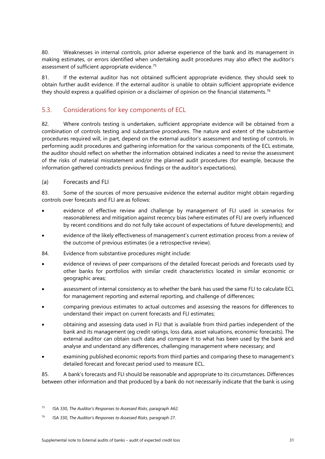80. Weaknesses in internal controls, prior adverse experience of the bank and its management in making estimates, or errors identified when undertaking audit procedures may also affect the auditor's assessment of sufficient appropriate evidence.<sup>[75](#page-34-1)</sup>

81. If the external auditor has not obtained sufficient appropriate evidence, they should seek to obtain further audit evidence. If the external auditor is unable to obtain sufficient appropriate evidence they should express a qualified opinion or a disclaimer of opinion on the financial statements.<sup>[76](#page-34-2)</sup>

#### <span id="page-34-0"></span>5.3. Considerations for key components of ECL

82. Where controls testing is undertaken, sufficient appropriate evidence will be obtained from a combination of controls testing and substantive procedures. The nature and extent of the substantive procedures required will, in part, depend on the external auditor's assessment and testing of controls. In performing audit procedures and gathering information for the various components of the ECL estimate, the auditor should reflect on whether the information obtained indicates a need to revise the assessment of the risks of material misstatement and/or the planned audit procedures (for example, because the information gathered contradicts previous findings or the auditor's expectations).

#### (a) Forecasts and FLI

83. Some of the sources of more persuasive evidence the external auditor might obtain regarding controls over forecasts and FLI are as follows:

- evidence of effective review and challenge by management of FLI used in scenarios for reasonableness and mitigation against recency bias (where estimates of FLI are overly influenced by recent conditions and do not fully take account of expectations of future developments); and
- evidence of the likely effectiveness of management's current estimation process from a review of the outcome of previous estimates (ie a retrospective review).
- 84. Evidence from substantive procedures might include:
- evidence of reviews of peer comparisons of the detailed forecast periods and forecasts used by other banks for portfolios with similar credit characteristics located in similar economic or geographic areas;
- assessment of internal consistency as to whether the bank has used the same FLI to calculate ECL for management reporting and external reporting, and challenge of differences;
- comparing previous estimates to actual outcomes and assessing the reasons for differences to understand their impact on current forecasts and FLI estimates;
- obtaining and assessing data used in FLI that is available from third parties independent of the bank and its management (eg credit ratings, loss data, asset valuations, economic forecasts). The external auditor can obtain such data and compare it to what has been used by the bank and analyse and understand any differences, challenging management where necessary; and
- examining published economic reports from third parties and comparing these to management's detailed forecast and forecast period used to measure ECL.

85. A bank's forecasts and FLI should be reasonable and appropriate to its circumstances. Differences between other information and that produced by a bank do not necessarily indicate that the bank is using

<span id="page-34-1"></span><sup>75</sup> ISA 330, *The Auditor's Responses to Assessed Risks*, paragraph A62.

<span id="page-34-2"></span><sup>76</sup> ISA 330, *The Auditor's Responses to Assessed Risks*, paragraph 27.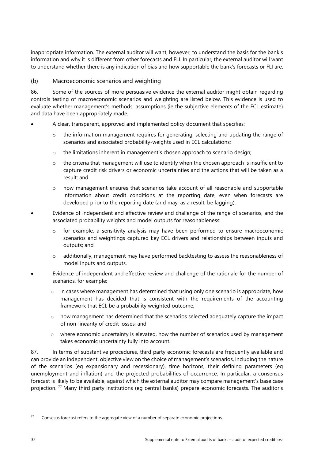inappropriate information. The external auditor will want, however, to understand the basis for the bank's information and why it is different from other forecasts and FLI. In particular, the external auditor will want to understand whether there is any indication of bias and how supportable the bank's forecasts or FLI are.

#### (b) Macroeconomic scenarios and weighting

86. Some of the sources of more persuasive evidence the external auditor might obtain regarding controls testing of macroeconomic scenarios and weighting are listed below. This evidence is used to evaluate whether management's methods, assumptions (ie the subjective elements of the ECL estimate) and data have been appropriately made.

- A clear, transparent, approved and implemented policy document that specifies:
	- $\circ$  the information management requires for generating, selecting and updating the range of scenarios and associated probability-weights used in ECL calculations;
	- $\circ$  the limitations inherent in management's chosen approach to scenario design;
	- $\circ$  the criteria that management will use to identify when the chosen approach is insufficient to capture credit risk drivers or economic uncertainties and the actions that will be taken as a result; and
	- $\circ$  how management ensures that scenarios take account of all reasonable and supportable information about credit conditions at the reporting date, even when forecasts are developed prior to the reporting date (and may, as a result, be lagging).
- Evidence of independent and effective review and challenge of the range of scenarios, and the associated probability weights and model outputs for reasonableness:
	- for example, a sensitivity analysis may have been performed to ensure macroeconomic scenarios and weightings captured key ECL drivers and relationships between inputs and outputs; and
	- o additionally, management may have performed backtesting to assess the reasonableness of model inputs and outputs.
- Evidence of independent and effective review and challenge of the rationale for the number of scenarios, for example:
	- $\circ$  in cases where management has determined that using only one scenario is appropriate, how management has decided that is consistent with the requirements of the accounting framework that ECL be a probability weighted outcome;
	- $\circ$  how management has determined that the scenarios selected adequately capture the impact of non-linearity of credit losses; and
	- $\circ$  where economic uncertainty is elevated, how the number of scenarios used by management takes economic uncertainty fully into account.

87. In terms of substantive procedures, third party economic forecasts are frequently available and can provide an independent, objective view on the choice of management's scenarios, including the nature of the scenarios (eg expansionary and recessionary), time horizons, their defining parameters (eg unemployment and inflation) and the projected probabilities of occurrence. In particular, a consensus forecast is likely to be available, against which the external auditor may compare management's base case projection. [77](#page-35-0) Many third party institutions (eg central banks) prepare economic forecasts. The auditor's

<span id="page-35-0"></span><sup>&</sup>lt;sup>77</sup> Consesus forecast refers to the aggregate view of a number of separate economic projections.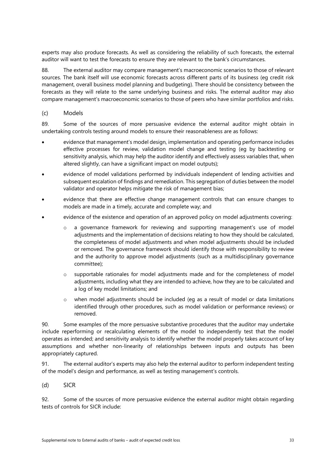experts may also produce forecasts. As well as considering the reliability of such forecasts, the external auditor will want to test the forecasts to ensure they are relevant to the bank's circumstances.

88. The external auditor may compare management's macroeconomic scenarios to those of relevant sources. The bank itself will use economic forecasts across different parts of its business (eg credit risk management, overall business model planning and budgeting). There should be consistency between the forecasts as they will relate to the same underlying business and risks. The external auditor may also compare management's macroeconomic scenarios to those of peers who have similar portfolios and risks.

#### (c) Models

89. Some of the sources of more persuasive evidence the external auditor might obtain in undertaking controls testing around models to ensure their reasonableness are as follows:

- evidence that management's model design, implementation and operating performance includes effective processes for review, validation model change and testing (eg by backtesting or sensitivity analysis, which may help the auditor identify and effectively assess variables that, when altered slightly, can have a significant impact on model outputs);
- evidence of model validations performed by individuals independent of lending activities and subsequent escalation of findings and remediation. This segregation of duties between the model validator and operator helps mitigate the risk of management bias;
- evidence that there are effective change management controls that can ensure changes to models are made in a timely, accurate and complete way; and
- evidence of the existence and operation of an approved policy on model adjustments covering:
	- $\circ$  a governance framework for reviewing and supporting management's use of model adjustments and the implementation of decisions relating to how they should be calculated, the completeness of model adjustments and when model adjustments should be included or removed. The governance framework should identify those with responsibility to review and the authority to approve model adjustments (such as a multidisciplinary governance committee);
	- $\circ$  supportable rationales for model adjustments made and for the completeness of model adjustments, including what they are intended to achieve, how they are to be calculated and a log of key model limitations; and
	- o when model adjustments should be included (eg as a result of model or data limitations identified through other procedures, such as model validation or performance reviews) or removed.

90. Some examples of the more persuasive substantive procedures that the auditor may undertake include reperforming or recalculating elements of the model to independently test that the model operates as intended; and sensitivity analysis to identify whether the model properly takes account of key assumptions and whether non-linearity of relationships between inputs and outputs has been appropriately captured.

91. The external auditor's experts may also help the external auditor to perform independent testing of the model's design and performance, as well as testing management's controls.

(d) SICR

92. Some of the sources of more persuasive evidence the external auditor might obtain regarding tests of controls for SICR include: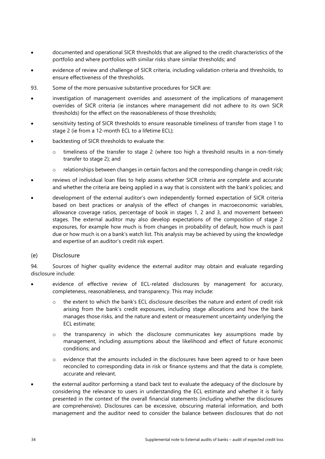- documented and operational SICR thresholds that are aligned to the credit characteristics of the portfolio and where portfolios with similar risks share similar thresholds; and
- evidence of review and challenge of SICR criteria, including validation criteria and thresholds, to ensure effectiveness of the thresholds.
- 93. Some of the more persuasive substantive procedures for SICR are:
- investigation of management overrides and assessment of the implications of management overrides of SICR criteria (ie instances where management did not adhere to its own SICR thresholds) for the effect on the reasonableness of those thresholds;
- sensitivity testing of SICR thresholds to ensure reasonable timeliness of transfer from stage 1 to stage 2 (ie from a 12-month ECL to a lifetime ECL);
- backtesting of SICR thresholds to evaluate the:
	- o timeliness of the transfer to stage 2 (where too high a threshold results in a non-timely transfer to stage 2); and
	- $\circ$  relationships between changes in certain factors and the corresponding change in credit risk;
- reviews of individual loan files to help assess whether SICR criteria are complete and accurate and whether the criteria are being applied in a way that is consistent with the bank's policies; and
- development of the external auditor's own independently formed expectation of SICR criteria based on best practices or analysis of the effect of changes in macroeconomic variables, allowance coverage ratios, percentage of book in stages 1, 2 and 3, and movement between stages. The external auditor may also develop expectations of the composition of stage 2 exposures, for example how much is from changes in probability of default, how much is past due or how much is on a bank's watch list. This analysis may be achieved by using the knowledge and expertise of an auditor's credit risk expert.
- (e) Disclosure

94. Sources of higher quality evidence the external auditor may obtain and evaluate regarding disclosure include:

- evidence of effective review of ECL-related disclosures by management for accuracy, completeness, reasonableness, and transparency. This may include:
	- $\circ$  the extent to which the bank's ECL disclosure describes the nature and extent of credit risk arising from the bank's credit exposures, including stage allocations and how the bank manages those risks, and the nature and extent or measurement uncertainty underlying the ECL estimate;
	- $\circ$  the transparency in which the disclosure communicates key assumptions made by management, including assumptions about the likelihood and effect of future economic conditions; and
	- $\circ$  evidence that the amounts included in the disclosures have been agreed to or have been reconciled to corresponding data in risk or finance systems and that the data is complete, accurate and relevant.
- the external auditor performing a stand back test to evaluate the adequacy of the disclosure by considering the relevance to users in understanding the ECL estimate and whether it is fairly presented in the context of the overall financial statements (including whether the disclosures are comprehensive). Disclosures can be excessive, obscuring material information, and both management and the auditor need to consider the balance between disclosures that do not